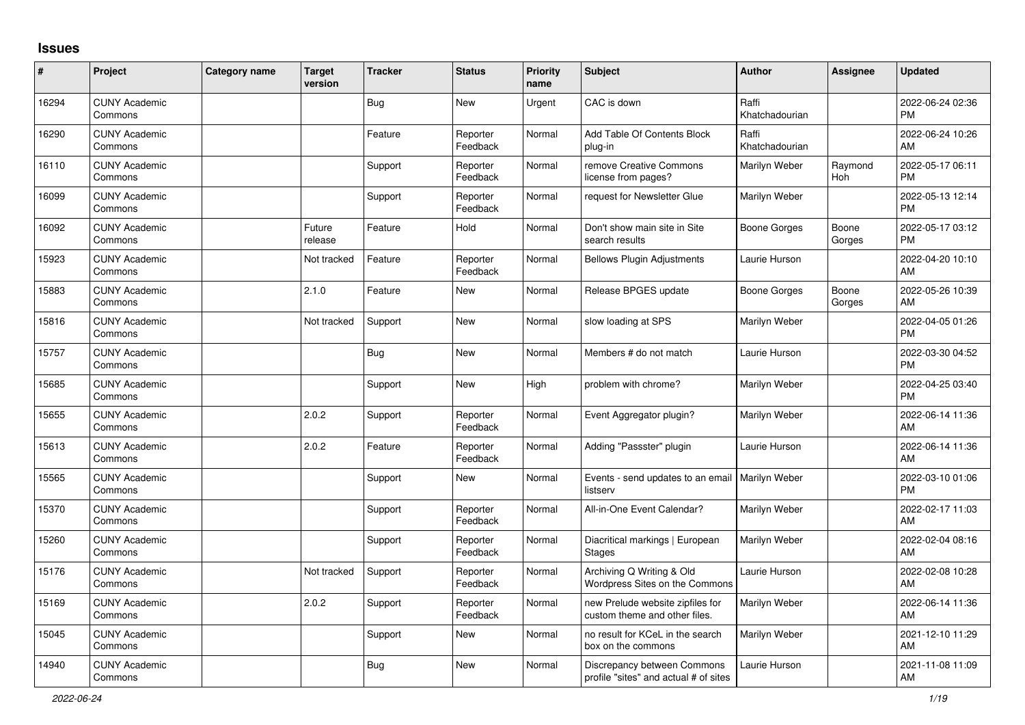## **Issues**

| $\vert$ # | Project                         | Category name | <b>Target</b><br>version | <b>Tracker</b> | <b>Status</b>        | <b>Priority</b><br>name | <b>Subject</b>                                                       | Author                  | Assignee        | <b>Updated</b>                |
|-----------|---------------------------------|---------------|--------------------------|----------------|----------------------|-------------------------|----------------------------------------------------------------------|-------------------------|-----------------|-------------------------------|
| 16294     | <b>CUNY Academic</b><br>Commons |               |                          | <b>Bug</b>     | <b>New</b>           | Urgent                  | CAC is down                                                          | Raffi<br>Khatchadourian |                 | 2022-06-24 02:36<br><b>PM</b> |
| 16290     | <b>CUNY Academic</b><br>Commons |               |                          | Feature        | Reporter<br>Feedback | Normal                  | Add Table Of Contents Block<br>plug-in                               | Raffi<br>Khatchadourian |                 | 2022-06-24 10:26<br>AM        |
| 16110     | <b>CUNY Academic</b><br>Commons |               |                          | Support        | Reporter<br>Feedback | Normal                  | remove Creative Commons<br>license from pages?                       | Marilyn Weber           | Raymond<br>Hoh  | 2022-05-17 06:11<br><b>PM</b> |
| 16099     | <b>CUNY Academic</b><br>Commons |               |                          | Support        | Reporter<br>Feedback | Normal                  | request for Newsletter Glue                                          | Marilyn Weber           |                 | 2022-05-13 12:14<br><b>PM</b> |
| 16092     | <b>CUNY Academic</b><br>Commons |               | Future<br>release        | Feature        | Hold                 | Normal                  | Don't show main site in Site<br>search results                       | <b>Boone Gorges</b>     | Boone<br>Gorges | 2022-05-17 03:12<br><b>PM</b> |
| 15923     | <b>CUNY Academic</b><br>Commons |               | Not tracked              | Feature        | Reporter<br>Feedback | Normal                  | <b>Bellows Plugin Adjustments</b>                                    | Laurie Hurson           |                 | 2022-04-20 10:10<br>AM        |
| 15883     | <b>CUNY Academic</b><br>Commons |               | 2.1.0                    | Feature        | <b>New</b>           | Normal                  | Release BPGES update                                                 | <b>Boone Gorges</b>     | Boone<br>Gorges | 2022-05-26 10:39<br>AM        |
| 15816     | <b>CUNY Academic</b><br>Commons |               | Not tracked              | Support        | New                  | Normal                  | slow loading at SPS                                                  | Marilyn Weber           |                 | 2022-04-05 01:26<br><b>PM</b> |
| 15757     | <b>CUNY Academic</b><br>Commons |               |                          | <b>Bug</b>     | New                  | Normal                  | Members # do not match                                               | Laurie Hurson           |                 | 2022-03-30 04:52<br><b>PM</b> |
| 15685     | <b>CUNY Academic</b><br>Commons |               |                          | Support        | <b>New</b>           | High                    | problem with chrome?                                                 | Marilyn Weber           |                 | 2022-04-25 03:40<br><b>PM</b> |
| 15655     | <b>CUNY Academic</b><br>Commons |               | 2.0.2                    | Support        | Reporter<br>Feedback | Normal                  | Event Aggregator plugin?                                             | Marilyn Weber           |                 | 2022-06-14 11:36<br>AM        |
| 15613     | <b>CUNY Academic</b><br>Commons |               | 2.0.2                    | Feature        | Reporter<br>Feedback | Normal                  | Adding "Passster" plugin                                             | Laurie Hurson           |                 | 2022-06-14 11:36<br>AM        |
| 15565     | <b>CUNY Academic</b><br>Commons |               |                          | Support        | New                  | Normal                  | Events - send updates to an email<br>listserv                        | <b>Marilyn Weber</b>    |                 | 2022-03-10 01:06<br><b>PM</b> |
| 15370     | <b>CUNY Academic</b><br>Commons |               |                          | Support        | Reporter<br>Feedback | Normal                  | All-in-One Event Calendar?                                           | Marilyn Weber           |                 | 2022-02-17 11:03<br>AM        |
| 15260     | <b>CUNY Academic</b><br>Commons |               |                          | Support        | Reporter<br>Feedback | Normal                  | Diacritical markings   European<br><b>Stages</b>                     | Marilyn Weber           |                 | 2022-02-04 08:16<br>AM        |
| 15176     | <b>CUNY Academic</b><br>Commons |               | Not tracked              | Support        | Reporter<br>Feedback | Normal                  | Archiving Q Writing & Old<br><b>Wordpress Sites on the Commons</b>   | Laurie Hurson           |                 | 2022-02-08 10:28<br>AM        |
| 15169     | <b>CUNY Academic</b><br>Commons |               | 2.0.2                    | Support        | Reporter<br>Feedback | Normal                  | new Prelude website zipfiles for<br>custom theme and other files.    | Marilyn Weber           |                 | 2022-06-14 11:36<br>AM        |
| 15045     | <b>CUNY Academic</b><br>Commons |               |                          | Support        | New                  | Normal                  | no result for KCeL in the search<br>box on the commons               | Marilyn Weber           |                 | 2021-12-10 11:29<br>AM        |
| 14940     | <b>CUNY Academic</b><br>Commons |               |                          | <b>Bug</b>     | <b>New</b>           | Normal                  | Discrepancy between Commons<br>profile "sites" and actual # of sites | Laurie Hurson           |                 | 2021-11-08 11:09<br>AM        |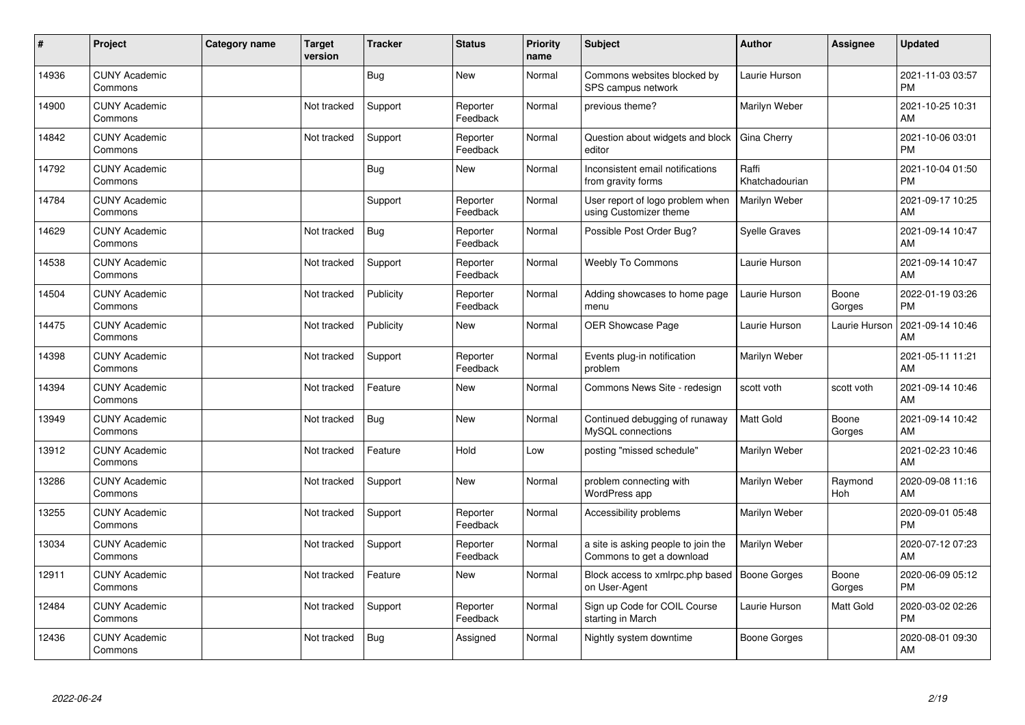| ∦     | Project                         | Category name | <b>Target</b><br>version | <b>Tracker</b> | <b>Status</b>        | <b>Priority</b><br>name | <b>Subject</b>                                                   | <b>Author</b>           | <b>Assignee</b> | <b>Updated</b>                |
|-------|---------------------------------|---------------|--------------------------|----------------|----------------------|-------------------------|------------------------------------------------------------------|-------------------------|-----------------|-------------------------------|
| 14936 | <b>CUNY Academic</b><br>Commons |               |                          | <b>Bug</b>     | <b>New</b>           | Normal                  | Commons websites blocked by<br>SPS campus network                | Laurie Hurson           |                 | 2021-11-03 03:57<br><b>PM</b> |
| 14900 | <b>CUNY Academic</b><br>Commons |               | Not tracked              | Support        | Reporter<br>Feedback | Normal                  | previous theme?                                                  | Marilyn Weber           |                 | 2021-10-25 10:31<br>AM        |
| 14842 | <b>CUNY Academic</b><br>Commons |               | Not tracked              | Support        | Reporter<br>Feedback | Normal                  | Question about widgets and block<br>editor                       | Gina Cherry             |                 | 2021-10-06 03:01<br><b>PM</b> |
| 14792 | <b>CUNY Academic</b><br>Commons |               |                          | <b>Bug</b>     | <b>New</b>           | Normal                  | Inconsistent email notifications<br>from gravity forms           | Raffi<br>Khatchadourian |                 | 2021-10-04 01:50<br><b>PM</b> |
| 14784 | <b>CUNY Academic</b><br>Commons |               |                          | Support        | Reporter<br>Feedback | Normal                  | User report of logo problem when<br>using Customizer theme       | Marilyn Weber           |                 | 2021-09-17 10:25<br>AM        |
| 14629 | <b>CUNY Academic</b><br>Commons |               | Not tracked              | <b>Bug</b>     | Reporter<br>Feedback | Normal                  | Possible Post Order Bug?                                         | <b>Syelle Graves</b>    |                 | 2021-09-14 10:47<br>AM        |
| 14538 | <b>CUNY Academic</b><br>Commons |               | Not tracked              | Support        | Reporter<br>Feedback | Normal                  | <b>Weebly To Commons</b>                                         | Laurie Hurson           |                 | 2021-09-14 10:47<br>AM        |
| 14504 | <b>CUNY Academic</b><br>Commons |               | Not tracked              | Publicity      | Reporter<br>Feedback | Normal                  | Adding showcases to home page<br>menu                            | Laurie Hurson           | Boone<br>Gorges | 2022-01-19 03:26<br><b>PM</b> |
| 14475 | <b>CUNY Academic</b><br>Commons |               | Not tracked              | Publicity      | <b>New</b>           | Normal                  | OER Showcase Page                                                | Laurie Hurson           | Laurie Hurson   | 2021-09-14 10:46<br>AM        |
| 14398 | <b>CUNY Academic</b><br>Commons |               | Not tracked              | Support        | Reporter<br>Feedback | Normal                  | Events plug-in notification<br>problem                           | Marilyn Weber           |                 | 2021-05-11 11:21<br>AM        |
| 14394 | <b>CUNY Academic</b><br>Commons |               | Not tracked              | Feature        | <b>New</b>           | Normal                  | Commons News Site - redesign                                     | scott voth              | scott voth      | 2021-09-14 10:46<br>AM        |
| 13949 | <b>CUNY Academic</b><br>Commons |               | Not tracked              | <b>Bug</b>     | <b>New</b>           | Normal                  | Continued debugging of runaway<br>MySQL connections              | <b>Matt Gold</b>        | Boone<br>Gorges | 2021-09-14 10:42<br>AM        |
| 13912 | <b>CUNY Academic</b><br>Commons |               | Not tracked              | Feature        | Hold                 | Low                     | posting "missed schedule"                                        | Marilyn Weber           |                 | 2021-02-23 10:46<br>AM        |
| 13286 | <b>CUNY Academic</b><br>Commons |               | Not tracked              | Support        | <b>New</b>           | Normal                  | problem connecting with<br>WordPress app                         | Marilyn Weber           | Raymond<br>Hoh  | 2020-09-08 11:16<br>AM        |
| 13255 | <b>CUNY Academic</b><br>Commons |               | Not tracked              | Support        | Reporter<br>Feedback | Normal                  | Accessibility problems                                           | Marilyn Weber           |                 | 2020-09-01 05:48<br><b>PM</b> |
| 13034 | <b>CUNY Academic</b><br>Commons |               | Not tracked              | Support        | Reporter<br>Feedback | Normal                  | a site is asking people to join the<br>Commons to get a download | Marilyn Weber           |                 | 2020-07-12 07:23<br>AM        |
| 12911 | <b>CUNY Academic</b><br>Commons |               | Not tracked              | Feature        | New                  | Normal                  | Block access to xmlrpc.php based<br>on User-Agent                | <b>Boone Gorges</b>     | Boone<br>Gorges | 2020-06-09 05:12<br><b>PM</b> |
| 12484 | <b>CUNY Academic</b><br>Commons |               | Not tracked              | Support        | Reporter<br>Feedback | Normal                  | Sign up Code for COIL Course<br>starting in March                | Laurie Hurson           | Matt Gold       | 2020-03-02 02:26<br><b>PM</b> |
| 12436 | <b>CUNY Academic</b><br>Commons |               | Not tracked              | <b>Bug</b>     | Assigned             | Normal                  | Nightly system downtime                                          | Boone Gorges            |                 | 2020-08-01 09:30<br>AM        |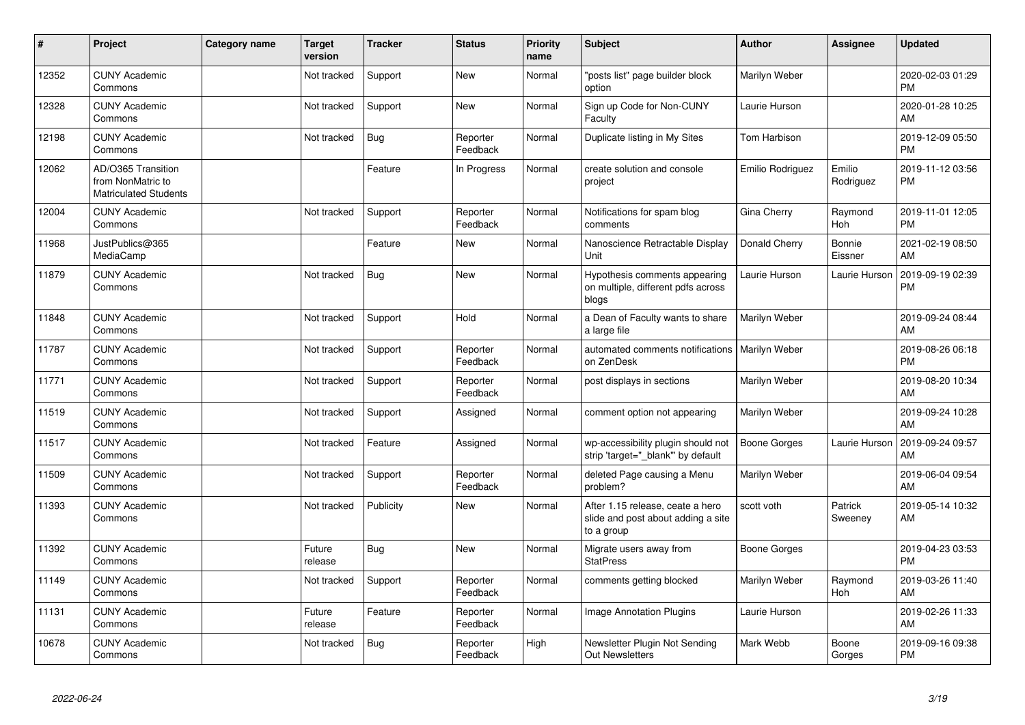| #     | Project                                                                 | <b>Category name</b> | <b>Target</b><br>version | <b>Tracker</b> | <b>Status</b>        | <b>Priority</b><br>name | <b>Subject</b>                                                                       | <b>Author</b>       | <b>Assignee</b>       | <b>Updated</b>                |
|-------|-------------------------------------------------------------------------|----------------------|--------------------------|----------------|----------------------|-------------------------|--------------------------------------------------------------------------------------|---------------------|-----------------------|-------------------------------|
| 12352 | <b>CUNY Academic</b><br>Commons                                         |                      | Not tracked              | Support        | <b>New</b>           | Normal                  | 'posts list" page builder block<br>option                                            | Marilyn Weber       |                       | 2020-02-03 01:29<br><b>PM</b> |
| 12328 | <b>CUNY Academic</b><br>Commons                                         |                      | Not tracked              | Support        | <b>New</b>           | Normal                  | Sign up Code for Non-CUNY<br>Faculty                                                 | Laurie Hurson       |                       | 2020-01-28 10:25<br>AM        |
| 12198 | <b>CUNY Academic</b><br>Commons                                         |                      | Not tracked              | Bug            | Reporter<br>Feedback | Normal                  | Duplicate listing in My Sites                                                        | Tom Harbison        |                       | 2019-12-09 05:50<br>РM        |
| 12062 | AD/O365 Transition<br>from NonMatric to<br><b>Matriculated Students</b> |                      |                          | Feature        | In Progress          | Normal                  | create solution and console<br>project                                               | Emilio Rodriguez    | Emilio<br>Rodriguez   | 2019-11-12 03:56<br>РM        |
| 12004 | <b>CUNY Academic</b><br>Commons                                         |                      | Not tracked              | Support        | Reporter<br>Feedback | Normal                  | Notifications for spam blog<br>comments                                              | Gina Cherry         | Raymond<br>Hoh        | 2019-11-01 12:05<br><b>PM</b> |
| 11968 | JustPublics@365<br>MediaCamp                                            |                      |                          | Feature        | <b>New</b>           | Normal                  | Nanoscience Retractable Display<br>Unit                                              | Donald Cherry       | Bonnie<br>Eissner     | 2021-02-19 08:50<br>AM        |
| 11879 | <b>CUNY Academic</b><br>Commons                                         |                      | Not tracked              | Bug            | <b>New</b>           | Normal                  | Hypothesis comments appearing<br>on multiple, different pdfs across<br>blogs         | Laurie Hurson       | Laurie Hurson         | 2019-09-19 02:39<br>PM        |
| 11848 | <b>CUNY Academic</b><br>Commons                                         |                      | Not tracked              | Support        | Hold                 | Normal                  | a Dean of Faculty wants to share<br>a large file                                     | Marilyn Weber       |                       | 2019-09-24 08:44<br>AM        |
| 11787 | <b>CUNY Academic</b><br>Commons                                         |                      | Not tracked              | Support        | Reporter<br>Feedback | Normal                  | automated comments notifications<br>on ZenDesk                                       | Marilyn Weber       |                       | 2019-08-26 06:18<br><b>PM</b> |
| 11771 | <b>CUNY Academic</b><br>Commons                                         |                      | Not tracked              | Support        | Reporter<br>Feedback | Normal                  | post displays in sections                                                            | Marilyn Weber       |                       | 2019-08-20 10:34<br>AM        |
| 11519 | <b>CUNY Academic</b><br>Commons                                         |                      | Not tracked              | Support        | Assigned             | Normal                  | comment option not appearing                                                         | Marilyn Weber       |                       | 2019-09-24 10:28<br>AM        |
| 11517 | <b>CUNY Academic</b><br>Commons                                         |                      | Not tracked              | Feature        | Assigned             | Normal                  | wp-accessibility plugin should not<br>strip 'target="_blank" by default              | <b>Boone Gorges</b> | Laurie Hurson         | 2019-09-24 09:57<br>AM        |
| 11509 | <b>CUNY Academic</b><br>Commons                                         |                      | Not tracked              | Support        | Reporter<br>Feedback | Normal                  | deleted Page causing a Menu<br>problem?                                              | Marilyn Weber       |                       | 2019-06-04 09:54<br>AM        |
| 11393 | <b>CUNY Academic</b><br>Commons                                         |                      | Not tracked              | Publicity      | New                  | Normal                  | After 1.15 release, ceate a hero<br>slide and post about adding a site<br>to a group | scott voth          | Patrick<br>Sweeney    | 2019-05-14 10:32<br>AM        |
| 11392 | <b>CUNY Academic</b><br>Commons                                         |                      | Future<br>release        | <b>Bug</b>     | <b>New</b>           | Normal                  | Migrate users away from<br><b>StatPress</b>                                          | Boone Gorges        |                       | 2019-04-23 03:53<br><b>PM</b> |
| 11149 | <b>CUNY Academic</b><br>Commons                                         |                      | Not tracked              | Support        | Reporter<br>Feedback | Normal                  | comments getting blocked                                                             | Marilyn Weber       | Raymond<br><b>Hoh</b> | 2019-03-26 11:40<br>AM        |
| 11131 | <b>CUNY Academic</b><br>Commons                                         |                      | Future<br>release        | Feature        | Reporter<br>Feedback | Normal                  | Image Annotation Plugins                                                             | Laurie Hurson       |                       | 2019-02-26 11:33<br>AM        |
| 10678 | <b>CUNY Academic</b><br>Commons                                         |                      | Not tracked              | Bug            | Reporter<br>Feedback | High                    | Newsletter Plugin Not Sending<br><b>Out Newsletters</b>                              | Mark Webb           | Boone<br>Gorges       | 2019-09-16 09:38<br><b>PM</b> |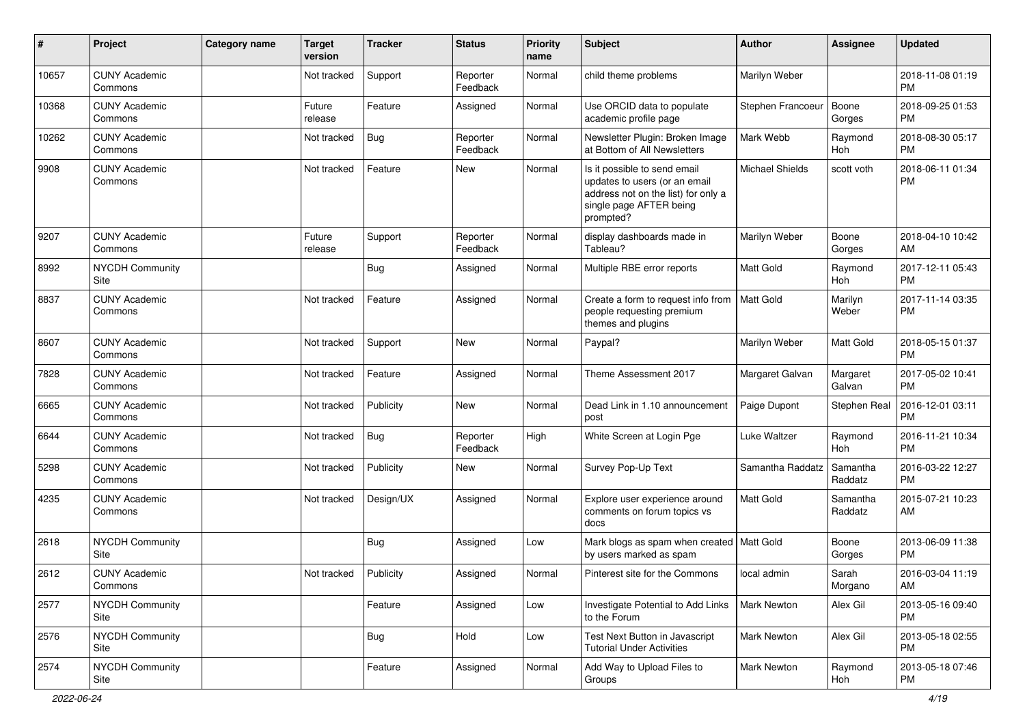| #     | Project                         | <b>Category name</b> | <b>Target</b><br>version | <b>Tracker</b> | <b>Status</b>        | <b>Priority</b><br>name | <b>Subject</b>                                                                                                                               | Author                 | <b>Assignee</b>     | <b>Updated</b>                |
|-------|---------------------------------|----------------------|--------------------------|----------------|----------------------|-------------------------|----------------------------------------------------------------------------------------------------------------------------------------------|------------------------|---------------------|-------------------------------|
| 10657 | <b>CUNY Academic</b><br>Commons |                      | Not tracked              | Support        | Reporter<br>Feedback | Normal                  | child theme problems                                                                                                                         | Marilyn Weber          |                     | 2018-11-08 01:19<br><b>PM</b> |
| 10368 | <b>CUNY Academic</b><br>Commons |                      | Future<br>release        | Feature        | Assigned             | Normal                  | Use ORCID data to populate<br>academic profile page                                                                                          | Stephen Francoeur      | Boone<br>Gorges     | 2018-09-25 01:53<br><b>PM</b> |
| 10262 | <b>CUNY Academic</b><br>Commons |                      | Not tracked              | Bug            | Reporter<br>Feedback | Normal                  | Newsletter Plugin: Broken Image<br>at Bottom of All Newsletters                                                                              | Mark Webb              | Raymond<br>Hoh      | 2018-08-30 05:17<br>PM        |
| 9908  | <b>CUNY Academic</b><br>Commons |                      | Not tracked              | Feature        | New                  | Normal                  | Is it possible to send email<br>updates to users (or an email<br>address not on the list) for only a<br>single page AFTER being<br>prompted? | <b>Michael Shields</b> | scott voth          | 2018-06-11 01:34<br><b>PM</b> |
| 9207  | <b>CUNY Academic</b><br>Commons |                      | Future<br>release        | Support        | Reporter<br>Feedback | Normal                  | display dashboards made in<br>Tableau?                                                                                                       | Marilyn Weber          | Boone<br>Gorges     | 2018-04-10 10:42<br>AM        |
| 8992  | <b>NYCDH Community</b><br>Site  |                      |                          | <b>Bug</b>     | Assigned             | Normal                  | Multiple RBE error reports                                                                                                                   | <b>Matt Gold</b>       | Raymond<br>Hoh      | 2017-12-11 05:43<br><b>PM</b> |
| 8837  | <b>CUNY Academic</b><br>Commons |                      | Not tracked              | Feature        | Assigned             | Normal                  | Create a form to request info from<br>people requesting premium<br>themes and plugins                                                        | Matt Gold              | Marilyn<br>Weber    | 2017-11-14 03:35<br><b>PM</b> |
| 8607  | <b>CUNY Academic</b><br>Commons |                      | Not tracked              | Support        | <b>New</b>           | Normal                  | Paypal?                                                                                                                                      | Marilyn Weber          | Matt Gold           | 2018-05-15 01:37<br><b>PM</b> |
| 7828  | <b>CUNY Academic</b><br>Commons |                      | Not tracked              | Feature        | Assigned             | Normal                  | Theme Assessment 2017                                                                                                                        | Margaret Galvan        | Margaret<br>Galvan  | 2017-05-02 10:41<br><b>PM</b> |
| 6665  | <b>CUNY Academic</b><br>Commons |                      | Not tracked              | Publicity      | New                  | Normal                  | Dead Link in 1.10 announcement<br>post                                                                                                       | Paige Dupont           | Stephen Real        | 2016-12-01 03:11<br><b>PM</b> |
| 6644  | <b>CUNY Academic</b><br>Commons |                      | Not tracked              | <b>Bug</b>     | Reporter<br>Feedback | High                    | White Screen at Login Pge                                                                                                                    | Luke Waltzer           | Raymond<br>Hoh      | 2016-11-21 10:34<br><b>PM</b> |
| 5298  | <b>CUNY Academic</b><br>Commons |                      | Not tracked              | Publicity      | New                  | Normal                  | Survey Pop-Up Text                                                                                                                           | Samantha Raddatz       | Samantha<br>Raddatz | 2016-03-22 12:27<br><b>PM</b> |
| 4235  | <b>CUNY Academic</b><br>Commons |                      | Not tracked              | Design/UX      | Assigned             | Normal                  | Explore user experience around<br>comments on forum topics vs<br>docs                                                                        | <b>Matt Gold</b>       | Samantha<br>Raddatz | 2015-07-21 10:23<br>AM        |
| 2618  | <b>NYCDH Community</b><br>Site  |                      |                          | Bug            | Assigned             | Low                     | Mark blogs as spam when created   Matt Gold<br>by users marked as spam                                                                       |                        | Boone<br>Gorges     | 2013-06-09 11:38<br>PM        |
| 2612  | <b>CUNY Academic</b><br>Commons |                      | Not tracked              | Publicity      | Assigned             | Normal                  | Pinterest site for the Commons                                                                                                               | local admin            | Sarah<br>Morgano    | 2016-03-04 11:19<br>AM        |
| 2577  | NYCDH Community<br>Site         |                      |                          | Feature        | Assigned             | Low                     | Investigate Potential to Add Links<br>to the Forum                                                                                           | Mark Newton            | Alex Gil            | 2013-05-16 09:40<br>PM        |
| 2576  | NYCDH Community<br>Site         |                      |                          | <b>Bug</b>     | Hold                 | Low                     | Test Next Button in Javascript<br><b>Tutorial Under Activities</b>                                                                           | Mark Newton            | Alex Gil            | 2013-05-18 02:55<br><b>PM</b> |
| 2574  | NYCDH Community<br>Site         |                      |                          | Feature        | Assigned             | Normal                  | Add Way to Upload Files to<br>Groups                                                                                                         | <b>Mark Newton</b>     | Raymond<br>Hoh      | 2013-05-18 07:46<br>PM        |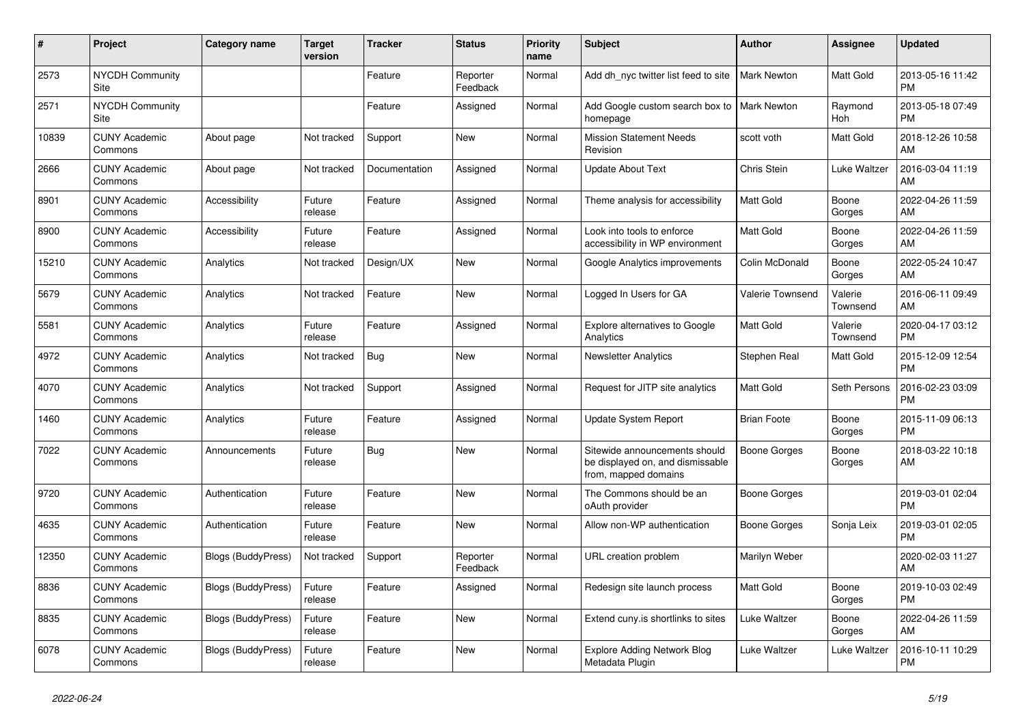| #     | Project                         | <b>Category name</b>      | Target<br>version | <b>Tracker</b> | <b>Status</b>        | <b>Priority</b><br>name | <b>Subject</b>                                                                            | <b>Author</b>       | <b>Assignee</b>     | <b>Updated</b>                |
|-------|---------------------------------|---------------------------|-------------------|----------------|----------------------|-------------------------|-------------------------------------------------------------------------------------------|---------------------|---------------------|-------------------------------|
| 2573  | <b>NYCDH Community</b><br>Site  |                           |                   | Feature        | Reporter<br>Feedback | Normal                  | Add dh nyc twitter list feed to site                                                      | <b>Mark Newton</b>  | Matt Gold           | 2013-05-16 11:42<br><b>PM</b> |
| 2571  | <b>NYCDH Community</b><br>Site  |                           |                   | Feature        | Assigned             | Normal                  | Add Google custom search box to<br>homepage                                               | <b>Mark Newton</b>  | Raymond<br>Hoh      | 2013-05-18 07:49<br><b>PM</b> |
| 10839 | <b>CUNY Academic</b><br>Commons | About page                | Not tracked       | Support        | New                  | Normal                  | <b>Mission Statement Needs</b><br>Revision                                                | scott voth          | Matt Gold           | 2018-12-26 10:58<br>AM        |
| 2666  | <b>CUNY Academic</b><br>Commons | About page                | Not tracked       | Documentation  | Assigned             | Normal                  | <b>Update About Text</b>                                                                  | Chris Stein         | Luke Waltzer        | 2016-03-04 11:19<br>AM        |
| 8901  | <b>CUNY Academic</b><br>Commons | Accessibility             | Future<br>release | Feature        | Assigned             | Normal                  | Theme analysis for accessibility                                                          | <b>Matt Gold</b>    | Boone<br>Gorges     | 2022-04-26 11:59<br>AM        |
| 8900  | <b>CUNY Academic</b><br>Commons | Accessibility             | Future<br>release | Feature        | Assigned             | Normal                  | Look into tools to enforce<br>accessibility in WP environment                             | Matt Gold           | Boone<br>Gorges     | 2022-04-26 11:59<br>AM        |
| 15210 | <b>CUNY Academic</b><br>Commons | Analytics                 | Not tracked       | Design/UX      | <b>New</b>           | Normal                  | Google Analytics improvements                                                             | Colin McDonald      | Boone<br>Gorges     | 2022-05-24 10:47<br>AM        |
| 5679  | <b>CUNY Academic</b><br>Commons | Analytics                 | Not tracked       | Feature        | <b>New</b>           | Normal                  | Logged In Users for GA                                                                    | Valerie Townsend    | Valerie<br>Townsend | 2016-06-11 09:49<br>AM        |
| 5581  | <b>CUNY Academic</b><br>Commons | Analytics                 | Future<br>release | Feature        | Assigned             | Normal                  | <b>Explore alternatives to Google</b><br>Analytics                                        | Matt Gold           | Valerie<br>Townsend | 2020-04-17 03:12<br><b>PM</b> |
| 4972  | <b>CUNY Academic</b><br>Commons | Analytics                 | Not tracked       | <b>Bug</b>     | <b>New</b>           | Normal                  | <b>Newsletter Analytics</b>                                                               | Stephen Real        | Matt Gold           | 2015-12-09 12:54<br><b>PM</b> |
| 4070  | <b>CUNY Academic</b><br>Commons | Analytics                 | Not tracked       | Support        | Assigned             | Normal                  | Request for JITP site analytics                                                           | Matt Gold           | Seth Persons        | 2016-02-23 03:09<br><b>PM</b> |
| 1460  | <b>CUNY Academic</b><br>Commons | Analytics                 | Future<br>release | Feature        | Assigned             | Normal                  | Update System Report                                                                      | <b>Brian Foote</b>  | Boone<br>Gorges     | 2015-11-09 06:13<br><b>PM</b> |
| 7022  | <b>CUNY Academic</b><br>Commons | Announcements             | Future<br>release | Bug            | <b>New</b>           | Normal                  | Sitewide announcements should<br>be displayed on, and dismissable<br>from, mapped domains | <b>Boone Gorges</b> | Boone<br>Gorges     | 2018-03-22 10:18<br>AM        |
| 9720  | <b>CUNY Academic</b><br>Commons | Authentication            | Future<br>release | Feature        | New                  | Normal                  | The Commons should be an<br>oAuth provider                                                | Boone Gorges        |                     | 2019-03-01 02:04<br><b>PM</b> |
| 4635  | <b>CUNY Academic</b><br>Commons | Authentication            | Future<br>release | Feature        | New                  | Normal                  | Allow non-WP authentication                                                               | Boone Gorges        | Sonja Leix          | 2019-03-01 02:05<br><b>PM</b> |
| 12350 | <b>CUNY Academic</b><br>Commons | <b>Blogs (BuddyPress)</b> | Not tracked       | Support        | Reporter<br>Feedback | Normal                  | URL creation problem                                                                      | Marilyn Weber       |                     | 2020-02-03 11:27<br>AM        |
| 8836  | <b>CUNY Academic</b><br>Commons | <b>Blogs (BuddyPress)</b> | Future<br>release | Feature        | Assigned             | Normal                  | Redesign site launch process                                                              | Matt Gold           | Boone<br>Gorges     | 2019-10-03 02:49<br><b>PM</b> |
| 8835  | <b>CUNY Academic</b><br>Commons | <b>Blogs (BuddyPress)</b> | Future<br>release | Feature        | <b>New</b>           | Normal                  | Extend cuny.is shortlinks to sites                                                        | Luke Waltzer        | Boone<br>Gorges     | 2022-04-26 11:59<br>AM        |
| 6078  | <b>CUNY Academic</b><br>Commons | <b>Blogs (BuddyPress)</b> | Future<br>release | Feature        | <b>New</b>           | Normal                  | <b>Explore Adding Network Blog</b><br>Metadata Plugin                                     | Luke Waltzer        | Luke Waltzer        | 2016-10-11 10:29<br><b>PM</b> |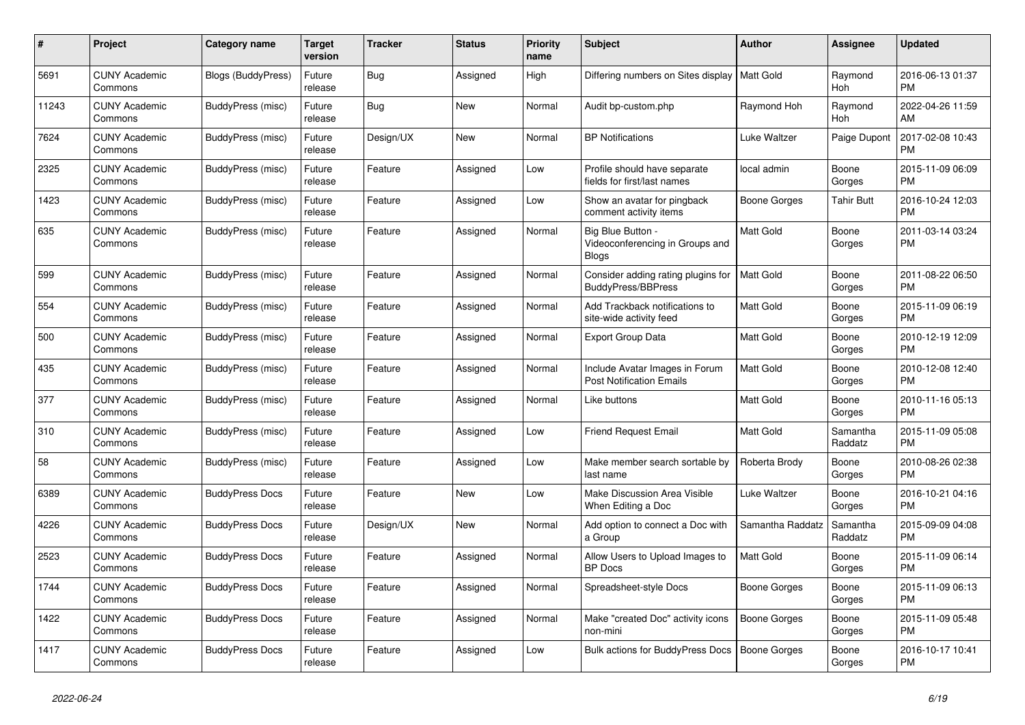| $\pmb{\#}$ | Project                         | Category name             | <b>Target</b><br>version | <b>Tracker</b> | <b>Status</b> | <b>Priority</b><br>name | <b>Subject</b>                                                       | <b>Author</b>       | <b>Assignee</b>       | <b>Updated</b>                |
|------------|---------------------------------|---------------------------|--------------------------|----------------|---------------|-------------------------|----------------------------------------------------------------------|---------------------|-----------------------|-------------------------------|
| 5691       | <b>CUNY Academic</b><br>Commons | <b>Blogs (BuddyPress)</b> | Future<br>release        | <b>Bug</b>     | Assigned      | High                    | Differing numbers on Sites display   Matt Gold                       |                     | Raymond<br><b>Hoh</b> | 2016-06-13 01:37<br><b>PM</b> |
| 11243      | <b>CUNY Academic</b><br>Commons | BuddyPress (misc)         | Future<br>release        | Bug            | <b>New</b>    | Normal                  | Audit bp-custom.php                                                  | Raymond Hoh         | Raymond<br>Hoh        | 2022-04-26 11:59<br>AM        |
| 7624       | <b>CUNY Academic</b><br>Commons | BuddyPress (misc)         | Future<br>release        | Design/UX      | <b>New</b>    | Normal                  | <b>BP Notifications</b>                                              | Luke Waltzer        | Paige Dupont          | 2017-02-08 10:43<br><b>PM</b> |
| 2325       | <b>CUNY Academic</b><br>Commons | BuddyPress (misc)         | Future<br>release        | Feature        | Assigned      | Low                     | Profile should have separate<br>fields for first/last names          | local admin         | Boone<br>Gorges       | 2015-11-09 06:09<br><b>PM</b> |
| 1423       | <b>CUNY Academic</b><br>Commons | BuddyPress (misc)         | Future<br>release        | Feature        | Assigned      | Low                     | Show an avatar for pingback<br>comment activity items                | <b>Boone Gorges</b> | <b>Tahir Butt</b>     | 2016-10-24 12:03<br><b>PM</b> |
| 635        | <b>CUNY Academic</b><br>Commons | BuddyPress (misc)         | Future<br>release        | Feature        | Assigned      | Normal                  | Big Blue Button -<br>Videoconferencing in Groups and<br><b>Blogs</b> | Matt Gold           | Boone<br>Gorges       | 2011-03-14 03:24<br><b>PM</b> |
| 599        | <b>CUNY Academic</b><br>Commons | BuddyPress (misc)         | Future<br>release        | Feature        | Assigned      | Normal                  | Consider adding rating plugins for<br><b>BuddyPress/BBPress</b>      | <b>Matt Gold</b>    | Boone<br>Gorges       | 2011-08-22 06:50<br><b>PM</b> |
| 554        | <b>CUNY Academic</b><br>Commons | BuddyPress (misc)         | Future<br>release        | Feature        | Assigned      | Normal                  | Add Trackback notifications to<br>site-wide activity feed            | <b>Matt Gold</b>    | Boone<br>Gorges       | 2015-11-09 06:19<br><b>PM</b> |
| 500        | <b>CUNY Academic</b><br>Commons | BuddyPress (misc)         | Future<br>release        | Feature        | Assigned      | Normal                  | <b>Export Group Data</b>                                             | <b>Matt Gold</b>    | Boone<br>Gorges       | 2010-12-19 12:09<br><b>PM</b> |
| 435        | <b>CUNY Academic</b><br>Commons | <b>BuddyPress (misc)</b>  | Future<br>release        | Feature        | Assigned      | Normal                  | Include Avatar Images in Forum<br><b>Post Notification Emails</b>    | <b>Matt Gold</b>    | Boone<br>Gorges       | 2010-12-08 12:40<br><b>PM</b> |
| 377        | <b>CUNY Academic</b><br>Commons | BuddyPress (misc)         | Future<br>release        | Feature        | Assigned      | Normal                  | Like buttons                                                         | Matt Gold           | Boone<br>Gorges       | 2010-11-16 05:13<br><b>PM</b> |
| 310        | <b>CUNY Academic</b><br>Commons | BuddyPress (misc)         | Future<br>release        | Feature        | Assigned      | Low                     | <b>Friend Request Email</b>                                          | <b>Matt Gold</b>    | Samantha<br>Raddatz   | 2015-11-09 05:08<br><b>PM</b> |
| 58         | <b>CUNY Academic</b><br>Commons | BuddyPress (misc)         | Future<br>release        | Feature        | Assigned      | Low                     | Make member search sortable by<br>last name                          | Roberta Brody       | Boone<br>Gorges       | 2010-08-26 02:38<br><b>PM</b> |
| 6389       | <b>CUNY Academic</b><br>Commons | <b>BuddyPress Docs</b>    | Future<br>release        | Feature        | <b>New</b>    | Low                     | Make Discussion Area Visible<br>When Editing a Doc                   | Luke Waltzer        | Boone<br>Gorges       | 2016-10-21 04:16<br><b>PM</b> |
| 4226       | <b>CUNY Academic</b><br>Commons | <b>BuddyPress Docs</b>    | Future<br>release        | Design/UX      | New           | Normal                  | Add option to connect a Doc with<br>a Group                          | Samantha Raddatz    | Samantha<br>Raddatz   | 2015-09-09 04:08<br><b>PM</b> |
| 2523       | <b>CUNY Academic</b><br>Commons | <b>BuddyPress Docs</b>    | Future<br>release        | Feature        | Assigned      | Normal                  | Allow Users to Upload Images to<br><b>BP</b> Docs                    | <b>Matt Gold</b>    | Boone<br>Gorges       | 2015-11-09 06:14<br><b>PM</b> |
| 1744       | <b>CUNY Academic</b><br>Commons | <b>BuddyPress Docs</b>    | Future<br>release        | Feature        | Assigned      | Normal                  | Spreadsheet-style Docs                                               | Boone Gorges        | Boone<br>Gorges       | 2015-11-09 06:13<br><b>PM</b> |
| 1422       | <b>CUNY Academic</b><br>Commons | <b>BuddyPress Docs</b>    | Future<br>release        | Feature        | Assigned      | Normal                  | Make "created Doc" activity icons<br>non-mini                        | <b>Boone Gorges</b> | Boone<br>Gorges       | 2015-11-09 05:48<br><b>PM</b> |
| 1417       | <b>CUNY Academic</b><br>Commons | <b>BuddyPress Docs</b>    | Future<br>release        | Feature        | Assigned      | Low                     | Bulk actions for BuddyPress Docs                                     | <b>Boone Gorges</b> | Boone<br>Gorges       | 2016-10-17 10:41<br><b>PM</b> |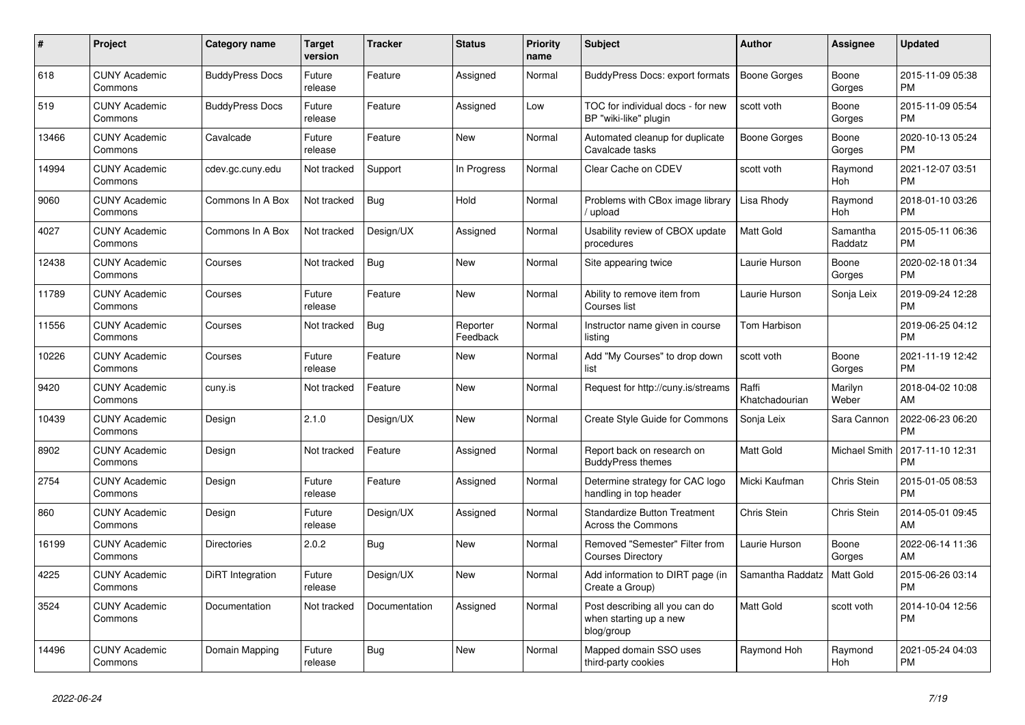| #     | <b>Project</b>                  | Category name          | Target<br>version | <b>Tracker</b> | <b>Status</b>        | <b>Priority</b><br>name | <b>Subject</b>                                                         | <b>Author</b>           | Assignee            | <b>Updated</b>                |
|-------|---------------------------------|------------------------|-------------------|----------------|----------------------|-------------------------|------------------------------------------------------------------------|-------------------------|---------------------|-------------------------------|
| 618   | <b>CUNY Academic</b><br>Commons | <b>BuddyPress Docs</b> | Future<br>release | Feature        | Assigned             | Normal                  | <b>BuddyPress Docs: export formats</b>                                 | <b>Boone Gorges</b>     | Boone<br>Gorges     | 2015-11-09 05:38<br><b>PM</b> |
| 519   | <b>CUNY Academic</b><br>Commons | <b>BuddyPress Docs</b> | Future<br>release | Feature        | Assigned             | Low                     | TOC for individual docs - for new<br>BP "wiki-like" plugin             | scott voth              | Boone<br>Gorges     | 2015-11-09 05:54<br><b>PM</b> |
| 13466 | <b>CUNY Academic</b><br>Commons | Cavalcade              | Future<br>release | Feature        | <b>New</b>           | Normal                  | Automated cleanup for duplicate<br>Cavalcade tasks                     | <b>Boone Gorges</b>     | Boone<br>Gorges     | 2020-10-13 05:24<br><b>PM</b> |
| 14994 | <b>CUNY Academic</b><br>Commons | cdev.gc.cuny.edu       | Not tracked       | Support        | In Progress          | Normal                  | Clear Cache on CDEV                                                    | scott voth              | Raymond<br>Hoh      | 2021-12-07 03:51<br><b>PM</b> |
| 9060  | <b>CUNY Academic</b><br>Commons | Commons In A Box       | Not tracked       | <b>Bug</b>     | Hold                 | Normal                  | Problems with CBox image library<br>upload                             | Lisa Rhody              | Raymond<br>Hoh      | 2018-01-10 03:26<br><b>PM</b> |
| 4027  | <b>CUNY Academic</b><br>Commons | Commons In A Box       | Not tracked       | Design/UX      | Assigned             | Normal                  | Usability review of CBOX update<br>procedures                          | Matt Gold               | Samantha<br>Raddatz | 2015-05-11 06:36<br><b>PM</b> |
| 12438 | <b>CUNY Academic</b><br>Commons | Courses                | Not tracked       | <b>Bug</b>     | <b>New</b>           | Normal                  | Site appearing twice                                                   | Laurie Hurson           | Boone<br>Gorges     | 2020-02-18 01:34<br><b>PM</b> |
| 11789 | <b>CUNY Academic</b><br>Commons | Courses                | Future<br>release | Feature        | <b>New</b>           | Normal                  | Ability to remove item from<br>Courses list                            | Laurie Hurson           | Sonja Leix          | 2019-09-24 12:28<br><b>PM</b> |
| 11556 | <b>CUNY Academic</b><br>Commons | Courses                | Not tracked       | <b>Bug</b>     | Reporter<br>Feedback | Normal                  | Instructor name given in course<br>listing                             | Tom Harbison            |                     | 2019-06-25 04:12<br><b>PM</b> |
| 10226 | <b>CUNY Academic</b><br>Commons | Courses                | Future<br>release | Feature        | <b>New</b>           | Normal                  | Add "My Courses" to drop down<br>list                                  | scott voth              | Boone<br>Gorges     | 2021-11-19 12:42<br><b>PM</b> |
| 9420  | <b>CUNY Academic</b><br>Commons | cuny.is                | Not tracked       | Feature        | <b>New</b>           | Normal                  | Request for http://cuny.is/streams                                     | Raffi<br>Khatchadourian | Marilyn<br>Weber    | 2018-04-02 10:08<br>AM        |
| 10439 | <b>CUNY Academic</b><br>Commons | Design                 | 2.1.0             | Design/UX      | <b>New</b>           | Normal                  | Create Style Guide for Commons                                         | Sonja Leix              | Sara Cannon         | 2022-06-23 06:20<br><b>PM</b> |
| 8902  | <b>CUNY Academic</b><br>Commons | Design                 | Not tracked       | Feature        | Assigned             | Normal                  | Report back on research on<br><b>BuddyPress themes</b>                 | <b>Matt Gold</b>        | Michael Smith       | 2017-11-10 12:31<br><b>PM</b> |
| 2754  | <b>CUNY Academic</b><br>Commons | Design                 | Future<br>release | Feature        | Assigned             | Normal                  | Determine strategy for CAC logo<br>handling in top header              | Micki Kaufman           | Chris Stein         | 2015-01-05 08:53<br><b>PM</b> |
| 860   | <b>CUNY Academic</b><br>Commons | Design                 | Future<br>release | Design/UX      | Assigned             | Normal                  | <b>Standardize Button Treatment</b><br><b>Across the Commons</b>       | <b>Chris Stein</b>      | Chris Stein         | 2014-05-01 09:45<br>AM        |
| 16199 | <b>CUNY Academic</b><br>Commons | <b>Directories</b>     | 2.0.2             | <b>Bug</b>     | <b>New</b>           | Normal                  | Removed "Semester" Filter from<br><b>Courses Directory</b>             | Laurie Hurson           | Boone<br>Gorges     | 2022-06-14 11:36<br>AM        |
| 4225  | <b>CUNY Academic</b><br>Commons | DiRT Integration       | Future<br>release | Design/UX      | <b>New</b>           | Normal                  | Add information to DIRT page (in<br>Create a Group)                    | Samantha Raddatz        | Matt Gold           | 2015-06-26 03:14<br><b>PM</b> |
| 3524  | <b>CUNY Academic</b><br>Commons | Documentation          | Not tracked       | Documentation  | Assigned             | Normal                  | Post describing all you can do<br>when starting up a new<br>blog/group | <b>Matt Gold</b>        | scott voth          | 2014-10-04 12:56<br><b>PM</b> |
| 14496 | <b>CUNY Academic</b><br>Commons | Domain Mapping         | Future<br>release | Bug            | <b>New</b>           | Normal                  | Mapped domain SSO uses<br>third-party cookies                          | Raymond Hoh             | Raymond<br>Hoh      | 2021-05-24 04:03<br><b>PM</b> |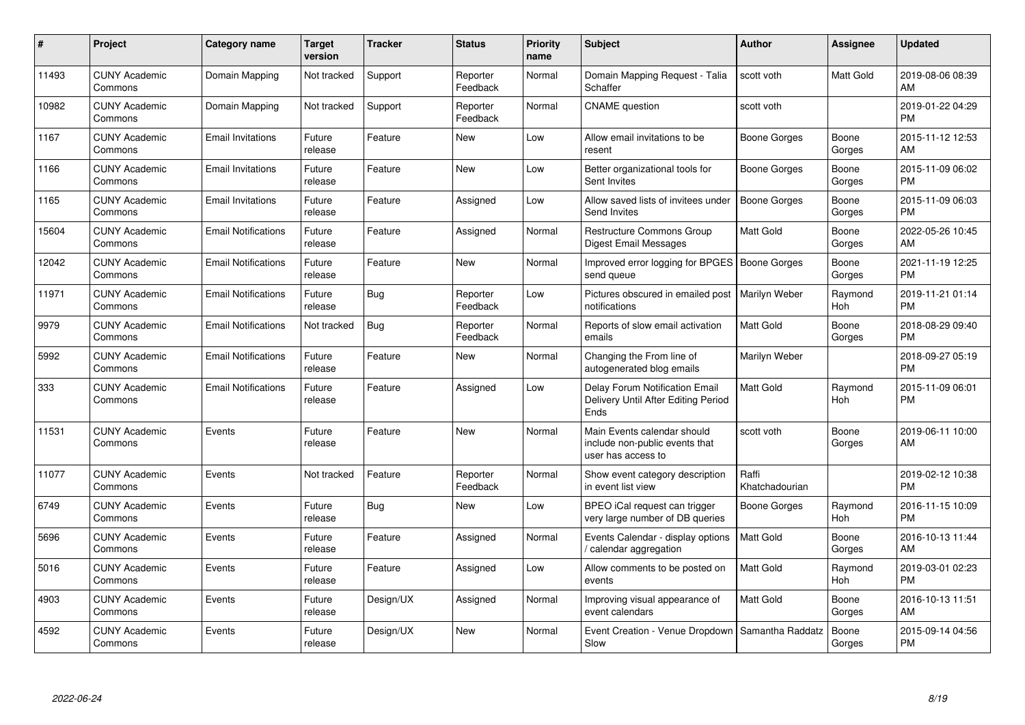| #     | Project                         | <b>Category name</b>       | <b>Target</b><br>version | <b>Tracker</b> | <b>Status</b>        | <b>Priority</b><br>name | <b>Subject</b>                                                                      | <b>Author</b>           | <b>Assignee</b> | <b>Updated</b>                |
|-------|---------------------------------|----------------------------|--------------------------|----------------|----------------------|-------------------------|-------------------------------------------------------------------------------------|-------------------------|-----------------|-------------------------------|
| 11493 | <b>CUNY Academic</b><br>Commons | Domain Mapping             | Not tracked              | Support        | Reporter<br>Feedback | Normal                  | Domain Mapping Request - Talia<br>Schaffer                                          | scott voth              | Matt Gold       | 2019-08-06 08:39<br>AM        |
| 10982 | <b>CUNY Academic</b><br>Commons | Domain Mapping             | Not tracked              | Support        | Reporter<br>Feedback | Normal                  | <b>CNAME</b> question                                                               | scott voth              |                 | 2019-01-22 04:29<br><b>PM</b> |
| 1167  | <b>CUNY Academic</b><br>Commons | <b>Email Invitations</b>   | Future<br>release        | Feature        | <b>New</b>           | Low                     | Allow email invitations to be<br>resent                                             | Boone Gorges            | Boone<br>Gorges | 2015-11-12 12:53<br>AM        |
| 1166  | <b>CUNY Academic</b><br>Commons | <b>Email Invitations</b>   | Future<br>release        | Feature        | New                  | Low                     | Better organizational tools for<br>Sent Invites                                     | Boone Gorges            | Boone<br>Gorges | 2015-11-09 06:02<br><b>PM</b> |
| 1165  | <b>CUNY Academic</b><br>Commons | <b>Email Invitations</b>   | Future<br>release        | Feature        | Assigned             | Low                     | Allow saved lists of invitees under<br>Send Invites                                 | <b>Boone Gorges</b>     | Boone<br>Gorges | 2015-11-09 06:03<br><b>PM</b> |
| 15604 | <b>CUNY Academic</b><br>Commons | <b>Email Notifications</b> | Future<br>release        | Feature        | Assigned             | Normal                  | <b>Restructure Commons Group</b><br><b>Digest Email Messages</b>                    | Matt Gold               | Boone<br>Gorges | 2022-05-26 10:45<br>AM        |
| 12042 | <b>CUNY Academic</b><br>Commons | <b>Email Notifications</b> | Future<br>release        | Feature        | <b>New</b>           | Normal                  | Improved error logging for BPGES   Boone Gorges<br>send queue                       |                         | Boone<br>Gorges | 2021-11-19 12:25<br><b>PM</b> |
| 11971 | <b>CUNY Academic</b><br>Commons | <b>Email Notifications</b> | Future<br>release        | <b>Bug</b>     | Reporter<br>Feedback | Low                     | Pictures obscured in emailed post<br>notifications                                  | Marilyn Weber           | Raymond<br>Hoh  | 2019-11-21 01:14<br><b>PM</b> |
| 9979  | <b>CUNY Academic</b><br>Commons | <b>Email Notifications</b> | Not tracked              | Bug            | Reporter<br>Feedback | Normal                  | Reports of slow email activation<br>emails                                          | <b>Matt Gold</b>        | Boone<br>Gorges | 2018-08-29 09:40<br><b>PM</b> |
| 5992  | <b>CUNY Academic</b><br>Commons | <b>Email Notifications</b> | Future<br>release        | Feature        | New                  | Normal                  | Changing the From line of<br>autogenerated blog emails                              | Marilyn Weber           |                 | 2018-09-27 05:19<br><b>PM</b> |
| 333   | <b>CUNY Academic</b><br>Commons | <b>Email Notifications</b> | Future<br>release        | Feature        | Assigned             | Low                     | Delay Forum Notification Email<br>Delivery Until After Editing Period<br>Ends       | <b>Matt Gold</b>        | Raymond<br>Hoh  | 2015-11-09 06:01<br><b>PM</b> |
| 11531 | <b>CUNY Academic</b><br>Commons | Events                     | Future<br>release        | Feature        | <b>New</b>           | Normal                  | Main Events calendar should<br>include non-public events that<br>user has access to | scott voth              | Boone<br>Gorges | 2019-06-11 10:00<br>AM        |
| 11077 | <b>CUNY Academic</b><br>Commons | Events                     | Not tracked              | Feature        | Reporter<br>Feedback | Normal                  | Show event category description<br>in event list view                               | Raffi<br>Khatchadourian |                 | 2019-02-12 10:38<br><b>PM</b> |
| 6749  | <b>CUNY Academic</b><br>Commons | Events                     | Future<br>release        | <b>Bug</b>     | <b>New</b>           | Low                     | BPEO iCal request can trigger<br>very large number of DB queries                    | <b>Boone Gorges</b>     | Raymond<br>Hoh  | 2016-11-15 10:09<br><b>PM</b> |
| 5696  | <b>CUNY Academic</b><br>Commons | Events                     | Future<br>release        | Feature        | Assigned             | Normal                  | Events Calendar - display options<br>calendar aggregation                           | <b>Matt Gold</b>        | Boone<br>Gorges | 2016-10-13 11:44<br>AM        |
| 5016  | <b>CUNY Academic</b><br>Commons | Events                     | Future<br>release        | Feature        | Assigned             | Low                     | Allow comments to be posted on<br>events                                            | <b>Matt Gold</b>        | Raymond<br>Hoh  | 2019-03-01 02:23<br><b>PM</b> |
| 4903  | <b>CUNY Academic</b><br>Commons | Events                     | Future<br>release        | Design/UX      | Assigned             | Normal                  | Improving visual appearance of<br>event calendars                                   | Matt Gold               | Boone<br>Gorges | 2016-10-13 11:51<br>AM        |
| 4592  | CUNY Academic<br>Commons        | Events                     | Future<br>release        | Design/UX      | <b>New</b>           | Normal                  | Event Creation - Venue Dropdown<br>Slow                                             | Samantha Raddatz        | Boone<br>Gorges | 2015-09-14 04:56<br><b>PM</b> |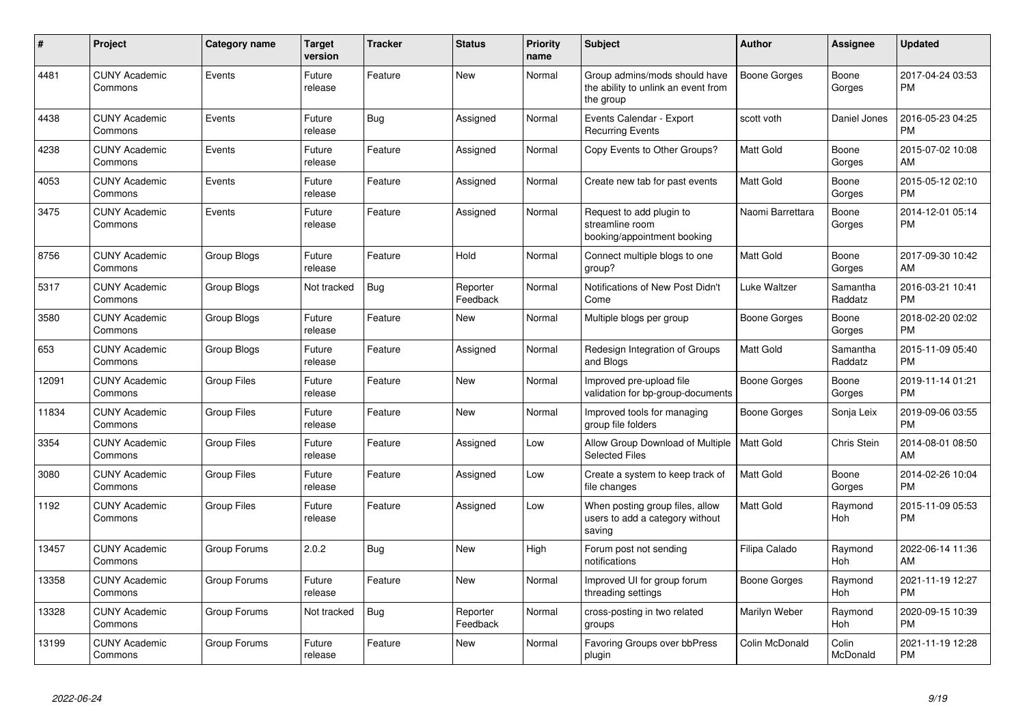| #     | Project                         | Category name      | <b>Target</b><br>version | <b>Tracker</b> | <b>Status</b>        | <b>Priority</b><br>name | Subject                                                                           | <b>Author</b>    | <b>Assignee</b>       | <b>Updated</b>                |
|-------|---------------------------------|--------------------|--------------------------|----------------|----------------------|-------------------------|-----------------------------------------------------------------------------------|------------------|-----------------------|-------------------------------|
| 4481  | <b>CUNY Academic</b><br>Commons | Events             | Future<br>release        | Feature        | <b>New</b>           | Normal                  | Group admins/mods should have<br>the ability to unlink an event from<br>the group | Boone Gorges     | Boone<br>Gorges       | 2017-04-24 03:53<br><b>PM</b> |
| 4438  | <b>CUNY Academic</b><br>Commons | Events             | Future<br>release        | <b>Bug</b>     | Assigned             | Normal                  | Events Calendar - Export<br><b>Recurring Events</b>                               | scott voth       | Daniel Jones          | 2016-05-23 04:25<br>PM        |
| 4238  | <b>CUNY Academic</b><br>Commons | Events             | Future<br>release        | Feature        | Assigned             | Normal                  | Copy Events to Other Groups?                                                      | Matt Gold        | Boone<br>Gorges       | 2015-07-02 10:08<br>AM        |
| 4053  | <b>CUNY Academic</b><br>Commons | Events             | Future<br>release        | Feature        | Assigned             | Normal                  | Create new tab for past events                                                    | Matt Gold        | Boone<br>Gorges       | 2015-05-12 02:10<br><b>PM</b> |
| 3475  | <b>CUNY Academic</b><br>Commons | Events             | Future<br>release        | Feature        | Assigned             | Normal                  | Request to add plugin to<br>streamline room<br>booking/appointment booking        | Naomi Barrettara | Boone<br>Gorges       | 2014-12-01 05:14<br><b>PM</b> |
| 8756  | <b>CUNY Academic</b><br>Commons | Group Blogs        | Future<br>release        | Feature        | Hold                 | Normal                  | Connect multiple blogs to one<br>group?                                           | Matt Gold        | Boone<br>Gorges       | 2017-09-30 10:42<br>AM        |
| 5317  | <b>CUNY Academic</b><br>Commons | Group Blogs        | Not tracked              | <b>Bug</b>     | Reporter<br>Feedback | Normal                  | Notifications of New Post Didn't<br>Come                                          | Luke Waltzer     | Samantha<br>Raddatz   | 2016-03-21 10:41<br><b>PM</b> |
| 3580  | <b>CUNY Academic</b><br>Commons | <b>Group Blogs</b> | Future<br>release        | Feature        | New                  | Normal                  | Multiple blogs per group                                                          | Boone Gorges     | Boone<br>Gorges       | 2018-02-20 02:02<br>PM        |
| 653   | <b>CUNY Academic</b><br>Commons | Group Blogs        | Future<br>release        | Feature        | Assigned             | Normal                  | Redesign Integration of Groups<br>and Blogs                                       | Matt Gold        | Samantha<br>Raddatz   | 2015-11-09 05:40<br>PM        |
| 12091 | <b>CUNY Academic</b><br>Commons | <b>Group Files</b> | Future<br>release        | Feature        | <b>New</b>           | Normal                  | Improved pre-upload file<br>validation for bp-group-documents                     | Boone Gorges     | Boone<br>Gorges       | 2019-11-14 01:21<br><b>PM</b> |
| 11834 | <b>CUNY Academic</b><br>Commons | <b>Group Files</b> | Future<br>release        | Feature        | <b>New</b>           | Normal                  | Improved tools for managing<br>group file folders                                 | Boone Gorges     | Sonja Leix            | 2019-09-06 03:55<br><b>PM</b> |
| 3354  | <b>CUNY Academic</b><br>Commons | <b>Group Files</b> | Future<br>release        | Feature        | Assigned             | Low                     | Allow Group Download of Multiple<br><b>Selected Files</b>                         | Matt Gold        | Chris Stein           | 2014-08-01 08:50<br>AM        |
| 3080  | <b>CUNY Academic</b><br>Commons | <b>Group Files</b> | Future<br>release        | Feature        | Assigned             | Low                     | Create a system to keep track of<br>file changes                                  | Matt Gold        | Boone<br>Gorges       | 2014-02-26 10:04<br><b>PM</b> |
| 1192  | <b>CUNY Academic</b><br>Commons | <b>Group Files</b> | Future<br>release        | Feature        | Assigned             | Low                     | When posting group files, allow<br>users to add a category without<br>saving      | Matt Gold        | Raymond<br>Hoh        | 2015-11-09 05:53<br><b>PM</b> |
| 13457 | <b>CUNY Academic</b><br>Commons | Group Forums       | 2.0.2                    | Bug            | <b>New</b>           | High                    | Forum post not sending<br>notifications                                           | Filipa Calado    | Raymond<br>Hoh        | 2022-06-14 11:36<br>AM        |
| 13358 | <b>CUNY Academic</b><br>Commons | Group Forums       | Future<br>release        | Feature        | <b>New</b>           | Normal                  | Improved UI for group forum<br>threading settings                                 | Boone Gorges     | Raymond<br>Hoh        | 2021-11-19 12:27<br><b>PM</b> |
| 13328 | <b>CUNY Academic</b><br>Commons | Group Forums       | Not tracked              | <b>Bug</b>     | Reporter<br>Feedback | Normal                  | cross-posting in two related<br>groups                                            | Marilyn Weber    | Raymond<br><b>Hoh</b> | 2020-09-15 10:39<br><b>PM</b> |
| 13199 | <b>CUNY Academic</b><br>Commons | Group Forums       | Future<br>release        | Feature        | <b>New</b>           | Normal                  | Favoring Groups over bbPress<br>plugin                                            | Colin McDonald   | Colin<br>McDonald     | 2021-11-19 12:28<br>PM        |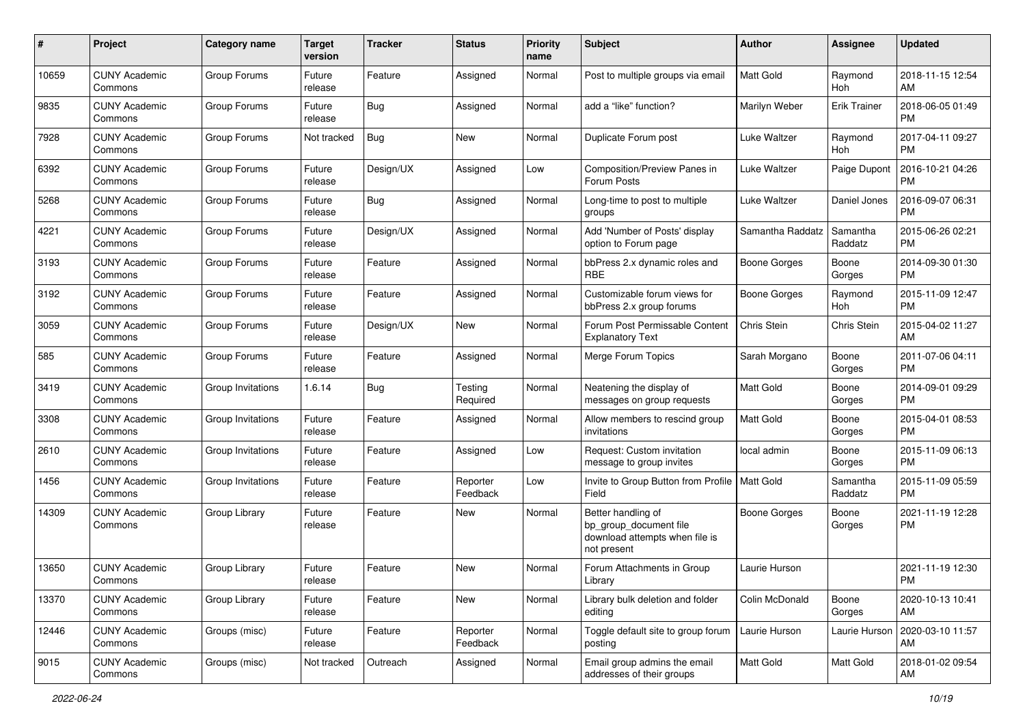| #     | Project                         | <b>Category name</b> | <b>Target</b><br>version | <b>Tracker</b> | <b>Status</b>        | <b>Priority</b><br>name | Subject                                                                                       | Author              | Assignee            | <b>Updated</b>                |
|-------|---------------------------------|----------------------|--------------------------|----------------|----------------------|-------------------------|-----------------------------------------------------------------------------------------------|---------------------|---------------------|-------------------------------|
| 10659 | <b>CUNY Academic</b><br>Commons | Group Forums         | Future<br>release        | Feature        | Assigned             | Normal                  | Post to multiple groups via email                                                             | <b>Matt Gold</b>    | Raymond<br>Hoh      | 2018-11-15 12:54<br>AM        |
| 9835  | <b>CUNY Academic</b><br>Commons | Group Forums         | Future<br>release        | <b>Bug</b>     | Assigned             | Normal                  | add a "like" function?                                                                        | Marilyn Weber       | <b>Erik Trainer</b> | 2018-06-05 01:49<br><b>PM</b> |
| 7928  | CUNY Academic<br>Commons        | Group Forums         | Not tracked              | <b>Bug</b>     | New                  | Normal                  | Duplicate Forum post                                                                          | Luke Waltzer        | Raymond<br>Hoh      | 2017-04-11 09:27<br><b>PM</b> |
| 6392  | <b>CUNY Academic</b><br>Commons | Group Forums         | Future<br>release        | Design/UX      | Assigned             | Low                     | Composition/Preview Panes in<br>Forum Posts                                                   | Luke Waltzer        | Paige Dupont        | 2016-10-21 04:26<br><b>PM</b> |
| 5268  | <b>CUNY Academic</b><br>Commons | Group Forums         | Future<br>release        | <b>Bug</b>     | Assigned             | Normal                  | Long-time to post to multiple<br>groups                                                       | Luke Waltzer        | Daniel Jones        | 2016-09-07 06:31<br><b>PM</b> |
| 4221  | <b>CUNY Academic</b><br>Commons | Group Forums         | Future<br>release        | Design/UX      | Assigned             | Normal                  | Add 'Number of Posts' display<br>option to Forum page                                         | Samantha Raddatz    | Samantha<br>Raddatz | 2015-06-26 02:21<br><b>PM</b> |
| 3193  | <b>CUNY Academic</b><br>Commons | Group Forums         | Future<br>release        | Feature        | Assigned             | Normal                  | bbPress 2.x dynamic roles and<br><b>RBE</b>                                                   | <b>Boone Gorges</b> | Boone<br>Gorges     | 2014-09-30 01:30<br><b>PM</b> |
| 3192  | <b>CUNY Academic</b><br>Commons | Group Forums         | Future<br>release        | Feature        | Assigned             | Normal                  | Customizable forum views for<br>bbPress 2.x group forums                                      | <b>Boone Gorges</b> | Raymond<br>Hoh      | 2015-11-09 12:47<br><b>PM</b> |
| 3059  | <b>CUNY Academic</b><br>Commons | Group Forums         | Future<br>release        | Design/UX      | New                  | Normal                  | Forum Post Permissable Content<br><b>Explanatory Text</b>                                     | Chris Stein         | Chris Stein         | 2015-04-02 11:27<br>AM        |
| 585   | <b>CUNY Academic</b><br>Commons | Group Forums         | Future<br>release        | Feature        | Assigned             | Normal                  | Merge Forum Topics                                                                            | Sarah Morgano       | Boone<br>Gorges     | 2011-07-06 04:11<br><b>PM</b> |
| 3419  | <b>CUNY Academic</b><br>Commons | Group Invitations    | 1.6.14                   | Bug            | Testing<br>Required  | Normal                  | Neatening the display of<br>messages on group requests                                        | <b>Matt Gold</b>    | Boone<br>Gorges     | 2014-09-01 09:29<br><b>PM</b> |
| 3308  | <b>CUNY Academic</b><br>Commons | Group Invitations    | Future<br>release        | Feature        | Assigned             | Normal                  | Allow members to rescind group<br>invitations                                                 | <b>Matt Gold</b>    | Boone<br>Gorges     | 2015-04-01 08:53<br><b>PM</b> |
| 2610  | <b>CUNY Academic</b><br>Commons | Group Invitations    | Future<br>release        | Feature        | Assigned             | Low                     | Request: Custom invitation<br>message to group invites                                        | local admin         | Boone<br>Gorges     | 2015-11-09 06:13<br><b>PM</b> |
| 1456  | <b>CUNY Academic</b><br>Commons | Group Invitations    | Future<br>release        | Feature        | Reporter<br>Feedback | Low                     | Invite to Group Button from Profile   Matt Gold<br>Field                                      |                     | Samantha<br>Raddatz | 2015-11-09 05:59<br><b>PM</b> |
| 14309 | <b>CUNY Academic</b><br>Commons | Group Library        | Future<br>release        | Feature        | New                  | Normal                  | Better handling of<br>bp_group_document file<br>download attempts when file is<br>not present | <b>Boone Gorges</b> | Boone<br>Gorges     | 2021-11-19 12:28<br><b>PM</b> |
| 13650 | CUNY Academic<br>Commons        | Group Library        | Future<br>release        | Feature        | New                  | Normal                  | Forum Attachments in Group<br>Library                                                         | Laurie Hurson       |                     | 2021-11-19 12:30<br>PM        |
| 13370 | <b>CUNY Academic</b><br>Commons | Group Library        | Future<br>release        | Feature        | New                  | Normal                  | Library bulk deletion and folder<br>editing                                                   | Colin McDonald      | Boone<br>Gorges     | 2020-10-13 10:41<br>AM        |
| 12446 | <b>CUNY Academic</b><br>Commons | Groups (misc)        | Future<br>release        | Feature        | Reporter<br>Feedback | Normal                  | Toggle default site to group forum<br>posting                                                 | Laurie Hurson       | Laurie Hurson       | 2020-03-10 11:57<br>AM        |
| 9015  | <b>CUNY Academic</b><br>Commons | Groups (misc)        | Not tracked              | Outreach       | Assigned             | Normal                  | Email group admins the email<br>addresses of their groups                                     | Matt Gold           | Matt Gold           | 2018-01-02 09:54<br>AM        |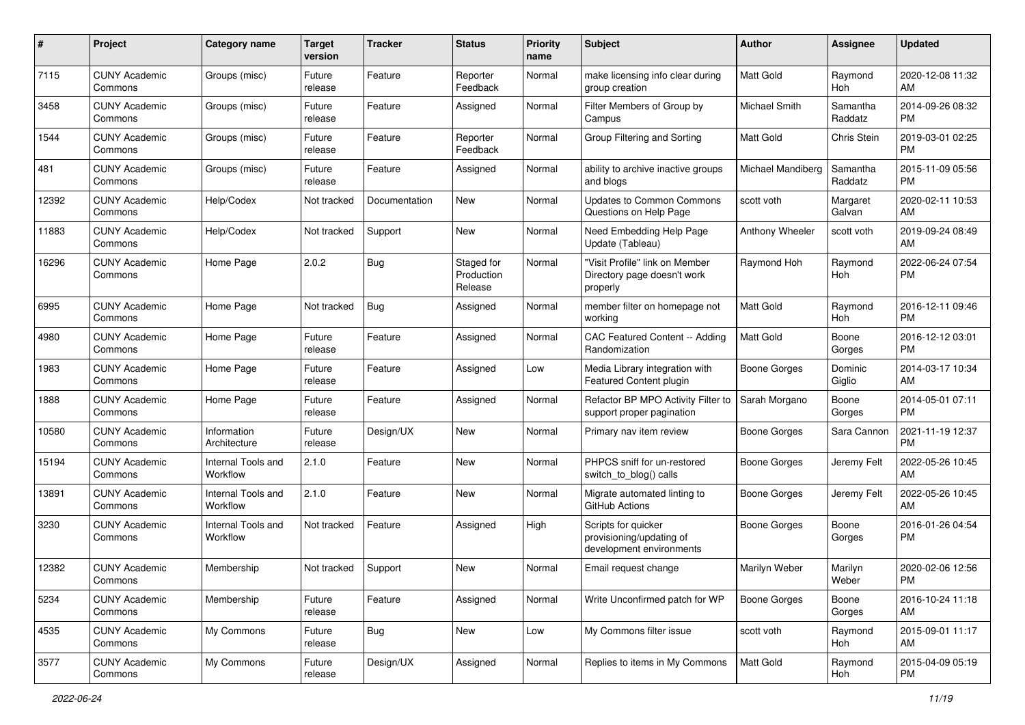| #     | Project                         | <b>Category name</b>           | <b>Target</b><br>version | <b>Tracker</b> | <b>Status</b>                       | <b>Priority</b><br>name | <b>Subject</b>                                                              | Author              | Assignee              | <b>Updated</b>                |
|-------|---------------------------------|--------------------------------|--------------------------|----------------|-------------------------------------|-------------------------|-----------------------------------------------------------------------------|---------------------|-----------------------|-------------------------------|
| 7115  | <b>CUNY Academic</b><br>Commons | Groups (misc)                  | Future<br>release        | Feature        | Reporter<br>Feedback                | Normal                  | make licensing info clear during<br>group creation                          | <b>Matt Gold</b>    | Raymond<br>Hoh        | 2020-12-08 11:32<br>AM        |
| 3458  | <b>CUNY Academic</b><br>Commons | Groups (misc)                  | Future<br>release        | Feature        | Assigned                            | Normal                  | Filter Members of Group by<br>Campus                                        | Michael Smith       | Samantha<br>Raddatz   | 2014-09-26 08:32<br><b>PM</b> |
| 1544  | <b>CUNY Academic</b><br>Commons | Groups (misc)                  | Future<br>release        | Feature        | Reporter<br>Feedback                | Normal                  | Group Filtering and Sorting                                                 | <b>Matt Gold</b>    | Chris Stein           | 2019-03-01 02:25<br><b>PM</b> |
| 481   | <b>CUNY Academic</b><br>Commons | Groups (misc)                  | Future<br>release        | Feature        | Assigned                            | Normal                  | ability to archive inactive groups<br>and blogs                             | Michael Mandiberg   | Samantha<br>Raddatz   | 2015-11-09 05:56<br><b>PM</b> |
| 12392 | <b>CUNY Academic</b><br>Commons | Help/Codex                     | Not tracked              | Documentation  | <b>New</b>                          | Normal                  | <b>Updates to Common Commons</b><br>Questions on Help Page                  | scott voth          | Margaret<br>Galvan    | 2020-02-11 10:53<br>AM        |
| 11883 | <b>CUNY Academic</b><br>Commons | Help/Codex                     | Not tracked              | Support        | <b>New</b>                          | Normal                  | Need Embedding Help Page<br>Update (Tableau)                                | Anthony Wheeler     | scott voth            | 2019-09-24 08:49<br>AM        |
| 16296 | <b>CUNY Academic</b><br>Commons | Home Page                      | 2.0.2                    | Bug            | Staged for<br>Production<br>Release | Normal                  | "Visit Profile" link on Member<br>Directory page doesn't work<br>properly   | Raymond Hoh         | Raymond<br><b>Hoh</b> | 2022-06-24 07:54<br><b>PM</b> |
| 6995  | <b>CUNY Academic</b><br>Commons | Home Page                      | Not tracked              | Bug            | Assigned                            | Normal                  | member filter on homepage not<br>workina                                    | Matt Gold           | Raymond<br>Hoh        | 2016-12-11 09:46<br><b>PM</b> |
| 4980  | <b>CUNY Academic</b><br>Commons | Home Page                      | Future<br>release        | Feature        | Assigned                            | Normal                  | CAC Featured Content -- Adding<br>Randomization                             | <b>Matt Gold</b>    | Boone<br>Gorges       | 2016-12-12 03:01<br><b>PM</b> |
| 1983  | <b>CUNY Academic</b><br>Commons | Home Page                      | Future<br>release        | Feature        | Assigned                            | Low                     | Media Library integration with<br>Featured Content plugin                   | <b>Boone Gorges</b> | Dominic<br>Giglio     | 2014-03-17 10:34<br>AM        |
| 1888  | <b>CUNY Academic</b><br>Commons | Home Page                      | Future<br>release        | Feature        | Assigned                            | Normal                  | Refactor BP MPO Activity Filter to<br>support proper pagination             | Sarah Morgano       | Boone<br>Gorges       | 2014-05-01 07:11<br><b>PM</b> |
| 10580 | <b>CUNY Academic</b><br>Commons | Information<br>Architecture    | Future<br>release        | Design/UX      | <b>New</b>                          | Normal                  | Primary nav item review                                                     | Boone Gorges        | Sara Cannon           | 2021-11-19 12:37<br><b>PM</b> |
| 15194 | <b>CUNY Academic</b><br>Commons | Internal Tools and<br>Workflow | 2.1.0                    | Feature        | <b>New</b>                          | Normal                  | PHPCS sniff for un-restored<br>switch_to_blog() calls                       | Boone Gorges        | Jeremy Felt           | 2022-05-26 10:45<br>AM        |
| 13891 | <b>CUNY Academic</b><br>Commons | Internal Tools and<br>Workflow | 2.1.0                    | Feature        | <b>New</b>                          | Normal                  | Migrate automated linting to<br>GitHub Actions                              | Boone Gorges        | Jeremy Felt           | 2022-05-26 10:45<br>AM        |
| 3230  | <b>CUNY Academic</b><br>Commons | Internal Tools and<br>Workflow | Not tracked              | Feature        | Assigned                            | High                    | Scripts for quicker<br>provisioning/updating of<br>development environments | <b>Boone Gorges</b> | Boone<br>Gorges       | 2016-01-26 04:54<br><b>PM</b> |
| 12382 | <b>CUNY Academic</b><br>Commons | Membership                     | Not tracked              | Support        | <b>New</b>                          | Normal                  | Email request change                                                        | Marilyn Weber       | Marilyn<br>Weber      | 2020-02-06 12:56<br>PM        |
| 5234  | <b>CUNY Academic</b><br>Commons | Membership                     | Future<br>release        | Feature        | Assigned                            | Normal                  | Write Unconfirmed patch for WP                                              | <b>Boone Gorges</b> | Boone<br>Gorges       | 2016-10-24 11:18<br>AM        |
| 4535  | <b>CUNY Academic</b><br>Commons | My Commons                     | Future<br>release        | <b>Bug</b>     | New                                 | Low                     | My Commons filter issue                                                     | scott voth          | Raymond<br>Hoh        | 2015-09-01 11:17<br>AM        |
| 3577  | <b>CUNY Academic</b><br>Commons | My Commons                     | Future<br>release        | Design/UX      | Assigned                            | Normal                  | Replies to items in My Commons                                              | Matt Gold           | Raymond<br>Hoh        | 2015-04-09 05:19<br>PM        |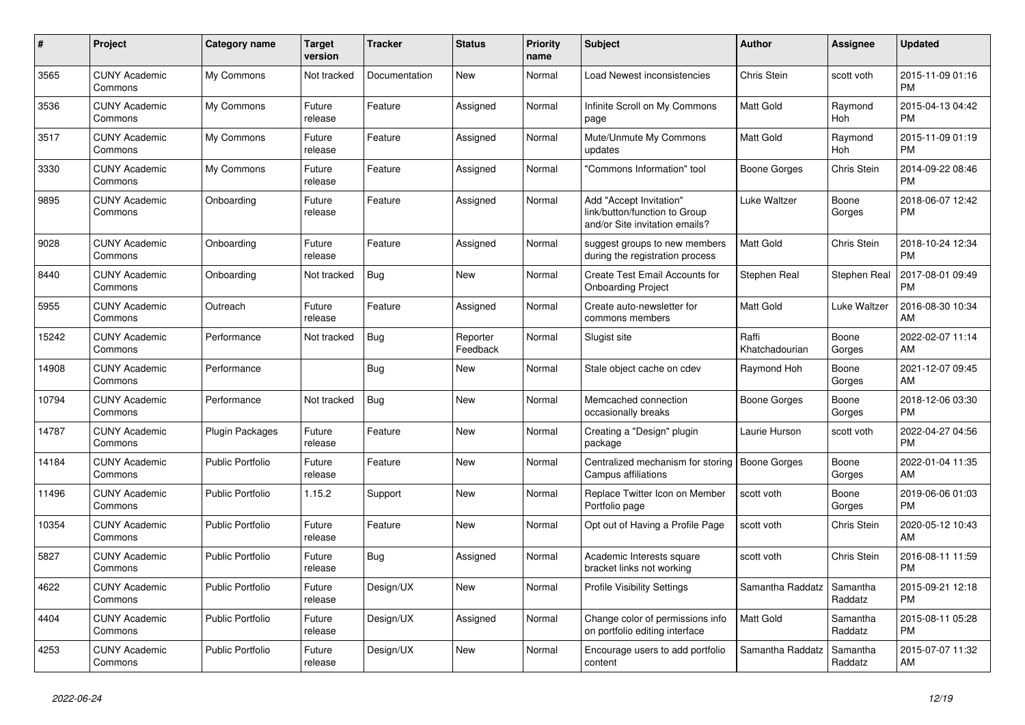| $\pmb{\#}$ | <b>Project</b>                  | Category name           | <b>Target</b><br>version | <b>Tracker</b> | <b>Status</b>        | <b>Priority</b><br>name | <b>Subject</b>                                                                             | <b>Author</b>           | <b>Assignee</b>       | <b>Updated</b>                |
|------------|---------------------------------|-------------------------|--------------------------|----------------|----------------------|-------------------------|--------------------------------------------------------------------------------------------|-------------------------|-----------------------|-------------------------------|
| 3565       | <b>CUNY Academic</b><br>Commons | My Commons              | Not tracked              | Documentation  | <b>New</b>           | Normal                  | Load Newest inconsistencies                                                                | <b>Chris Stein</b>      | scott voth            | 2015-11-09 01:16<br><b>PM</b> |
| 3536       | <b>CUNY Academic</b><br>Commons | My Commons              | Future<br>release        | Feature        | Assigned             | Normal                  | Infinite Scroll on My Commons<br>page                                                      | <b>Matt Gold</b>        | Raymond<br>Hoh        | 2015-04-13 04:42<br><b>PM</b> |
| 3517       | <b>CUNY Academic</b><br>Commons | My Commons              | Future<br>release        | Feature        | Assigned             | Normal                  | Mute/Unmute My Commons<br>updates                                                          | Matt Gold               | Raymond<br><b>Hoh</b> | 2015-11-09 01:19<br><b>PM</b> |
| 3330       | <b>CUNY Academic</b><br>Commons | My Commons              | Future<br>release        | Feature        | Assigned             | Normal                  | 'Commons Information" tool                                                                 | Boone Gorges            | Chris Stein           | 2014-09-22 08:46<br><b>PM</b> |
| 9895       | <b>CUNY Academic</b><br>Commons | Onboarding              | Future<br>release        | Feature        | Assigned             | Normal                  | Add "Accept Invitation"<br>link/button/function to Group<br>and/or Site invitation emails? | Luke Waltzer            | Boone<br>Gorges       | 2018-06-07 12:42<br><b>PM</b> |
| 9028       | <b>CUNY Academic</b><br>Commons | Onboarding              | Future<br>release        | Feature        | Assigned             | Normal                  | suggest groups to new members<br>during the registration process                           | <b>Matt Gold</b>        | Chris Stein           | 2018-10-24 12:34<br><b>PM</b> |
| 8440       | <b>CUNY Academic</b><br>Commons | Onboarding              | Not tracked              | <b>Bug</b>     | <b>New</b>           | Normal                  | Create Test Email Accounts for<br><b>Onboarding Project</b>                                | Stephen Real            | <b>Stephen Real</b>   | 2017-08-01 09:49<br><b>PM</b> |
| 5955       | <b>CUNY Academic</b><br>Commons | Outreach                | Future<br>release        | Feature        | Assigned             | Normal                  | Create auto-newsletter for<br>commons members                                              | Matt Gold               | Luke Waltzer          | 2016-08-30 10:34<br>AM        |
| 15242      | <b>CUNY Academic</b><br>Commons | Performance             | Not tracked              | <b>Bug</b>     | Reporter<br>Feedback | Normal                  | Slugist site                                                                               | Raffi<br>Khatchadourian | Boone<br>Gorges       | 2022-02-07 11:14<br>AM        |
| 14908      | <b>CUNY Academic</b><br>Commons | Performance             |                          | <b>Bug</b>     | <b>New</b>           | Normal                  | Stale object cache on cdev                                                                 | Raymond Hoh             | Boone<br>Gorges       | 2021-12-07 09:45<br>AM        |
| 10794      | <b>CUNY Academic</b><br>Commons | Performance             | Not tracked              | Bug            | <b>New</b>           | Normal                  | Memcached connection<br>occasionally breaks                                                | <b>Boone Gorges</b>     | Boone<br>Gorges       | 2018-12-06 03:30<br><b>PM</b> |
| 14787      | <b>CUNY Academic</b><br>Commons | <b>Plugin Packages</b>  | Future<br>release        | Feature        | <b>New</b>           | Normal                  | Creating a "Design" plugin<br>package                                                      | Laurie Hurson           | scott voth            | 2022-04-27 04:56<br><b>PM</b> |
| 14184      | <b>CUNY Academic</b><br>Commons | <b>Public Portfolio</b> | Future<br>release        | Feature        | <b>New</b>           | Normal                  | Centralized mechanism for storing<br>Campus affiliations                                   | Boone Gorges            | Boone<br>Gorges       | 2022-01-04 11:35<br>AM        |
| 11496      | <b>CUNY Academic</b><br>Commons | <b>Public Portfolio</b> | 1.15.2                   | Support        | <b>New</b>           | Normal                  | Replace Twitter Icon on Member<br>Portfolio page                                           | scott voth              | Boone<br>Gorges       | 2019-06-06 01:03<br><b>PM</b> |
| 10354      | <b>CUNY Academic</b><br>Commons | <b>Public Portfolio</b> | Future<br>release        | Feature        | <b>New</b>           | Normal                  | Opt out of Having a Profile Page                                                           | scott voth              | Chris Stein           | 2020-05-12 10:43<br>AM        |
| 5827       | <b>CUNY Academic</b><br>Commons | <b>Public Portfolio</b> | Future<br>release        | <b>Bug</b>     | Assigned             | Normal                  | Academic Interests square<br>bracket links not working                                     | scott voth              | Chris Stein           | 2016-08-11 11:59<br><b>PM</b> |
| 4622       | <b>CUNY Academic</b><br>Commons | <b>Public Portfolio</b> | Future<br>release        | Design/UX      | <b>New</b>           | Normal                  | <b>Profile Visibility Settings</b>                                                         | Samantha Raddatz        | Samantha<br>Raddatz   | 2015-09-21 12:18<br><b>PM</b> |
| 4404       | <b>CUNY Academic</b><br>Commons | <b>Public Portfolio</b> | Future<br>release        | Design/UX      | Assigned             | Normal                  | Change color of permissions info<br>on portfolio editing interface                         | Matt Gold               | Samantha<br>Raddatz   | 2015-08-11 05:28<br><b>PM</b> |
| 4253       | <b>CUNY Academic</b><br>Commons | <b>Public Portfolio</b> | Future<br>release        | Design/UX      | <b>New</b>           | Normal                  | Encourage users to add portfolio<br>content                                                | Samantha Raddatz        | Samantha<br>Raddatz   | 2015-07-07 11:32<br>AM        |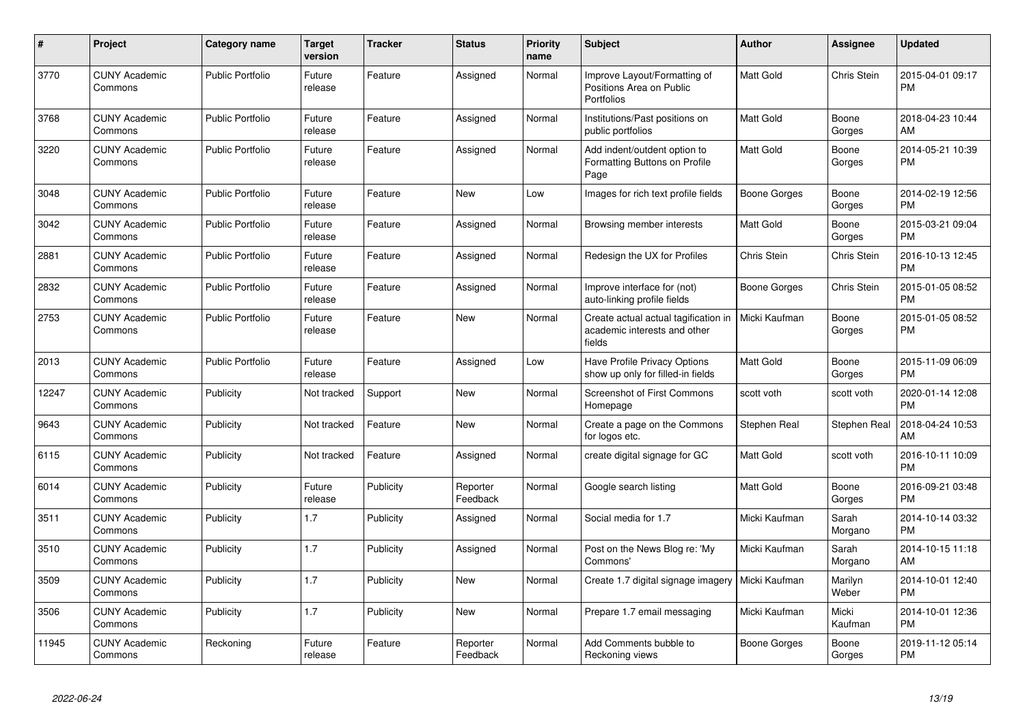| #     | <b>Project</b>                  | <b>Category name</b>    | <b>Target</b><br>version | Tracker   | <b>Status</b>        | Priority<br>name | <b>Subject</b>                                                                 | <b>Author</b>       | Assignee         | <b>Updated</b>                |
|-------|---------------------------------|-------------------------|--------------------------|-----------|----------------------|------------------|--------------------------------------------------------------------------------|---------------------|------------------|-------------------------------|
| 3770  | <b>CUNY Academic</b><br>Commons | <b>Public Portfolio</b> | Future<br>release        | Feature   | Assigned             | Normal           | Improve Layout/Formatting of<br>Positions Area on Public<br><b>Portfolios</b>  | <b>Matt Gold</b>    | Chris Stein      | 2015-04-01 09:17<br><b>PM</b> |
| 3768  | <b>CUNY Academic</b><br>Commons | <b>Public Portfolio</b> | Future<br>release        | Feature   | Assigned             | Normal           | Institutions/Past positions on<br>public portfolios                            | Matt Gold           | Boone<br>Gorges  | 2018-04-23 10:44<br>AM        |
| 3220  | <b>CUNY Academic</b><br>Commons | <b>Public Portfolio</b> | Future<br>release        | Feature   | Assigned             | Normal           | Add indent/outdent option to<br>Formatting Buttons on Profile<br>Page          | Matt Gold           | Boone<br>Gorges  | 2014-05-21 10:39<br><b>PM</b> |
| 3048  | <b>CUNY Academic</b><br>Commons | <b>Public Portfolio</b> | Future<br>release        | Feature   | <b>New</b>           | Low              | Images for rich text profile fields                                            | Boone Gorges        | Boone<br>Gorges  | 2014-02-19 12:56<br><b>PM</b> |
| 3042  | <b>CUNY Academic</b><br>Commons | <b>Public Portfolio</b> | Future<br>release        | Feature   | Assigned             | Normal           | Browsing member interests                                                      | Matt Gold           | Boone<br>Gorges  | 2015-03-21 09:04<br>PM        |
| 2881  | <b>CUNY Academic</b><br>Commons | <b>Public Portfolio</b> | Future<br>release        | Feature   | Assigned             | Normal           | Redesign the UX for Profiles                                                   | Chris Stein         | Chris Stein      | 2016-10-13 12:45<br>PM        |
| 2832  | <b>CUNY Academic</b><br>Commons | <b>Public Portfolio</b> | Future<br>release        | Feature   | Assigned             | Normal           | Improve interface for (not)<br>auto-linking profile fields                     | Boone Gorges        | Chris Stein      | 2015-01-05 08:52<br>РM        |
| 2753  | <b>CUNY Academic</b><br>Commons | <b>Public Portfolio</b> | Future<br>release        | Feature   | <b>New</b>           | Normal           | Create actual actual tagification in<br>academic interests and other<br>fields | Micki Kaufman       | Boone<br>Gorges  | 2015-01-05 08:52<br>PM        |
| 2013  | <b>CUNY Academic</b><br>Commons | <b>Public Portfolio</b> | Future<br>release        | Feature   | Assigned             | Low              | Have Profile Privacy Options<br>show up only for filled-in fields              | Matt Gold           | Boone<br>Gorges  | 2015-11-09 06:09<br><b>PM</b> |
| 12247 | <b>CUNY Academic</b><br>Commons | Publicity               | Not tracked              | Support   | <b>New</b>           | Normal           | <b>Screenshot of First Commons</b><br>Homepage                                 | scott voth          | scott voth       | 2020-01-14 12:08<br><b>PM</b> |
| 9643  | <b>CUNY Academic</b><br>Commons | Publicity               | Not tracked              | Feature   | <b>New</b>           | Normal           | Create a page on the Commons<br>for logos etc.                                 | Stephen Real        | Stephen Real     | 2018-04-24 10:53<br>AM        |
| 6115  | <b>CUNY Academic</b><br>Commons | Publicity               | Not tracked              | Feature   | Assigned             | Normal           | create digital signage for GC                                                  | Matt Gold           | scott voth       | 2016-10-11 10:09<br><b>PM</b> |
| 6014  | <b>CUNY Academic</b><br>Commons | Publicity               | Future<br>release        | Publicity | Reporter<br>Feedback | Normal           | Google search listing                                                          | Matt Gold           | Boone<br>Gorges  | 2016-09-21 03:48<br><b>PM</b> |
| 3511  | <b>CUNY Academic</b><br>Commons | Publicity               | 1.7                      | Publicity | Assigned             | Normal           | Social media for 1.7                                                           | Micki Kaufman       | Sarah<br>Morgano | 2014-10-14 03:32<br><b>PM</b> |
| 3510  | <b>CUNY Academic</b><br>Commons | Publicity               | 1.7                      | Publicity | Assigned             | Normal           | Post on the News Blog re: 'My<br>Commons'                                      | Micki Kaufman       | Sarah<br>Morgano | 2014-10-15 11:18<br>AM        |
| 3509  | <b>CUNY Academic</b><br>Commons | Publicity               | 1.7                      | Publicity | <b>New</b>           | Normal           | Create 1.7 digital signage imagery                                             | Micki Kaufman       | Marilyn<br>Weber | 2014-10-01 12:40<br><b>PM</b> |
| 3506  | <b>CUNY Academic</b><br>Commons | Publicity               | 1.7                      | Publicity | New                  | Normal           | Prepare 1.7 email messaging                                                    | Micki Kaufman       | Micki<br>Kaufman | 2014-10-01 12:36<br><b>PM</b> |
| 11945 | <b>CUNY Academic</b><br>Commons | Reckoning               | Future<br>release        | Feature   | Reporter<br>Feedback | Normal           | Add Comments bubble to<br>Reckoning views                                      | <b>Boone Gorges</b> | Boone<br>Gorges  | 2019-11-12 05:14<br><b>PM</b> |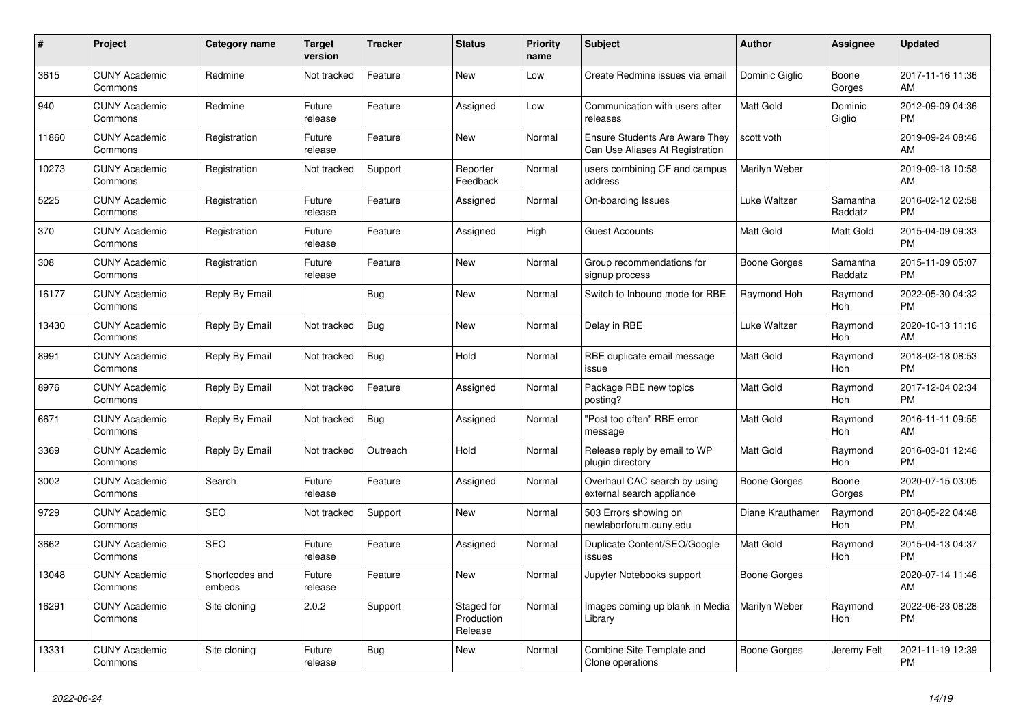| $\pmb{\#}$ | <b>Project</b>                  | Category name            | <b>Target</b><br>version | <b>Tracker</b> | <b>Status</b>                       | <b>Priority</b><br>name | <b>Subject</b>                                                           | <b>Author</b>    | <b>Assignee</b>       | <b>Updated</b>                |
|------------|---------------------------------|--------------------------|--------------------------|----------------|-------------------------------------|-------------------------|--------------------------------------------------------------------------|------------------|-----------------------|-------------------------------|
| 3615       | <b>CUNY Academic</b><br>Commons | Redmine                  | Not tracked              | Feature        | <b>New</b>                          | Low                     | Create Redmine issues via email                                          | Dominic Giglio   | Boone<br>Gorges       | 2017-11-16 11:36<br>AM        |
| 940        | <b>CUNY Academic</b><br>Commons | Redmine                  | Future<br>release        | Feature        | Assigned                            | Low                     | Communication with users after<br>releases                               | <b>Matt Gold</b> | Dominic<br>Giglio     | 2012-09-09 04:36<br><b>PM</b> |
| 11860      | <b>CUNY Academic</b><br>Commons | Registration             | Future<br>release        | Feature        | New                                 | Normal                  | <b>Ensure Students Are Aware They</b><br>Can Use Aliases At Registration | scott voth       |                       | 2019-09-24 08:46<br>AM        |
| 10273      | <b>CUNY Academic</b><br>Commons | Registration             | Not tracked              | Support        | Reporter<br>Feedback                | Normal                  | users combining CF and campus<br>address                                 | Marilyn Weber    |                       | 2019-09-18 10:58<br>AM        |
| 5225       | <b>CUNY Academic</b><br>Commons | Registration             | Future<br>release        | Feature        | Assigned                            | Normal                  | On-boarding Issues                                                       | Luke Waltzer     | Samantha<br>Raddatz   | 2016-02-12 02:58<br><b>PM</b> |
| 370        | <b>CUNY Academic</b><br>Commons | Registration             | Future<br>release        | Feature        | Assigned                            | High                    | <b>Guest Accounts</b>                                                    | Matt Gold        | Matt Gold             | 2015-04-09 09:33<br><b>PM</b> |
| 308        | <b>CUNY Academic</b><br>Commons | Registration             | Future<br>release        | Feature        | <b>New</b>                          | Normal                  | Group recommendations for<br>signup process                              | Boone Gorges     | Samantha<br>Raddatz   | 2015-11-09 05:07<br><b>PM</b> |
| 16177      | <b>CUNY Academic</b><br>Commons | Reply By Email           |                          | <b>Bug</b>     | <b>New</b>                          | Normal                  | Switch to Inbound mode for RBE                                           | Raymond Hoh      | Raymond<br>Hoh        | 2022-05-30 04:32<br><b>PM</b> |
| 13430      | <b>CUNY Academic</b><br>Commons | Reply By Email           | Not tracked              | <b>Bug</b>     | <b>New</b>                          | Normal                  | Delay in RBE                                                             | Luke Waltzer     | Raymond<br>Hoh        | 2020-10-13 11:16<br>AM        |
| 8991       | <b>CUNY Academic</b><br>Commons | Reply By Email           | Not tracked              | Bug            | Hold                                | Normal                  | RBE duplicate email message<br>issue                                     | <b>Matt Gold</b> | Raymond<br><b>Hoh</b> | 2018-02-18 08:53<br><b>PM</b> |
| 8976       | <b>CUNY Academic</b><br>Commons | Reply By Email           | Not tracked              | Feature        | Assigned                            | Normal                  | Package RBE new topics<br>posting?                                       | Matt Gold        | Raymond<br>Hoh        | 2017-12-04 02:34<br><b>PM</b> |
| 6671       | <b>CUNY Academic</b><br>Commons | Reply By Email           | Not tracked              | <b>Bug</b>     | Assigned                            | Normal                  | "Post too often" RBE error<br>message                                    | Matt Gold        | Raymond<br>Hoh        | 2016-11-11 09:55<br>AM        |
| 3369       | <b>CUNY Academic</b><br>Commons | Reply By Email           | Not tracked              | Outreach       | Hold                                | Normal                  | Release reply by email to WP<br>plugin directory                         | <b>Matt Gold</b> | Raymond<br><b>Hoh</b> | 2016-03-01 12:46<br><b>PM</b> |
| 3002       | <b>CUNY Academic</b><br>Commons | Search                   | Future<br>release        | Feature        | Assigned                            | Normal                  | Overhaul CAC search by using<br>external search appliance                | Boone Gorges     | Boone<br>Gorges       | 2020-07-15 03:05<br><b>PM</b> |
| 9729       | <b>CUNY Academic</b><br>Commons | <b>SEO</b>               | Not tracked              | Support        | <b>New</b>                          | Normal                  | 503 Errors showing on<br>newlaborforum.cuny.edu                          | Diane Krauthamer | Raymond<br>Hoh        | 2018-05-22 04:48<br><b>PM</b> |
| 3662       | <b>CUNY Academic</b><br>Commons | <b>SEO</b>               | Future<br>release        | Feature        | Assigned                            | Normal                  | Duplicate Content/SEO/Google<br>issues                                   | <b>Matt Gold</b> | Raymond<br><b>Hoh</b> | 2015-04-13 04:37<br><b>PM</b> |
| 13048      | <b>CUNY Academic</b><br>Commons | Shortcodes and<br>embeds | Future<br>release        | Feature        | <b>New</b>                          | Normal                  | Jupyter Notebooks support                                                | Boone Gorges     |                       | 2020-07-14 11:46<br>AM        |
| 16291      | <b>CUNY Academic</b><br>Commons | Site cloning             | 2.0.2                    | Support        | Staged for<br>Production<br>Release | Normal                  | Images coming up blank in Media<br>Library                               | Marilyn Weber    | Raymond<br>Hoh        | 2022-06-23 08:28<br><b>PM</b> |
| 13331      | <b>CUNY Academic</b><br>Commons | Site cloning             | Future<br>release        | <b>Bug</b>     | <b>New</b>                          | Normal                  | Combine Site Template and<br>Clone operations                            | Boone Gorges     | Jeremy Felt           | 2021-11-19 12:39<br><b>PM</b> |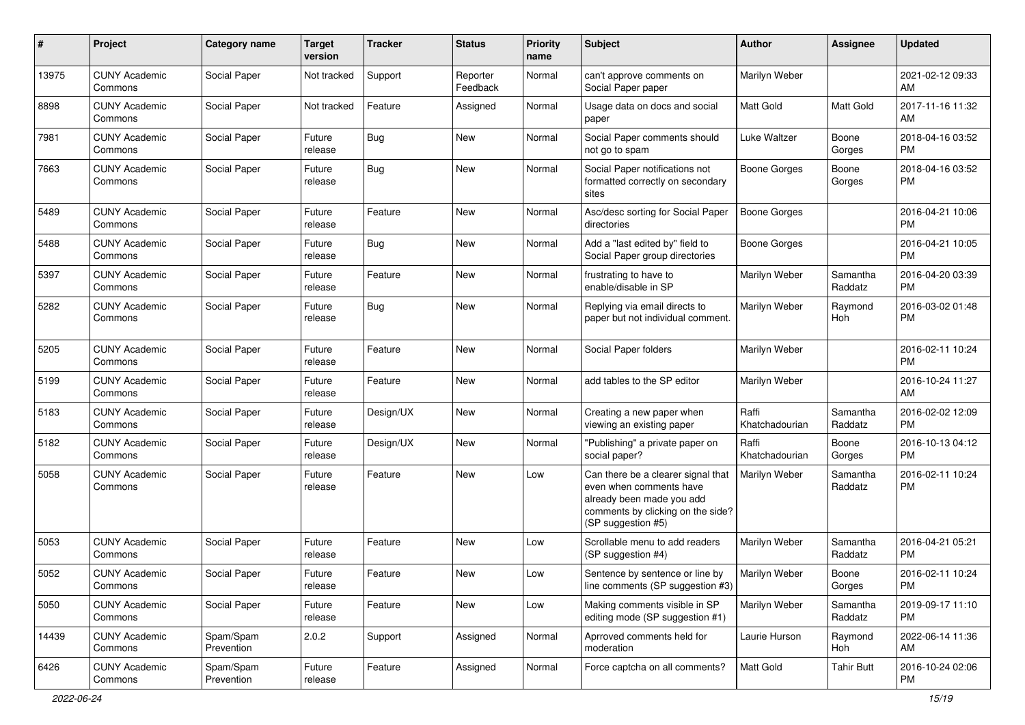| #     | Project                         | <b>Category name</b>    | <b>Target</b><br>version | <b>Tracker</b> | <b>Status</b>        | <b>Priority</b><br>name | Subject                                                                                                                                               | Author                  | <b>Assignee</b>     | <b>Updated</b>                |
|-------|---------------------------------|-------------------------|--------------------------|----------------|----------------------|-------------------------|-------------------------------------------------------------------------------------------------------------------------------------------------------|-------------------------|---------------------|-------------------------------|
| 13975 | <b>CUNY Academic</b><br>Commons | Social Paper            | Not tracked              | Support        | Reporter<br>Feedback | Normal                  | can't approve comments on<br>Social Paper paper                                                                                                       | Marilyn Weber           |                     | 2021-02-12 09:33<br>AM        |
| 8898  | <b>CUNY Academic</b><br>Commons | Social Paper            | Not tracked              | Feature        | Assigned             | Normal                  | Usage data on docs and social<br>paper                                                                                                                | Matt Gold               | <b>Matt Gold</b>    | 2017-11-16 11:32<br>AM        |
| 7981  | <b>CUNY Academic</b><br>Commons | Social Paper            | Future<br>release        | <b>Bug</b>     | New                  | Normal                  | Social Paper comments should<br>not go to spam                                                                                                        | Luke Waltzer            | Boone<br>Gorges     | 2018-04-16 03:52<br><b>PM</b> |
| 7663  | <b>CUNY Academic</b><br>Commons | Social Paper            | Future<br>release        | Bug            | New                  | Normal                  | Social Paper notifications not<br>formatted correctly on secondary<br>sites                                                                           | Boone Gorges            | Boone<br>Gorges     | 2018-04-16 03:52<br><b>PM</b> |
| 5489  | <b>CUNY Academic</b><br>Commons | Social Paper            | Future<br>release        | Feature        | New                  | Normal                  | Asc/desc sorting for Social Paper<br>directories                                                                                                      | <b>Boone Gorges</b>     |                     | 2016-04-21 10:06<br><b>PM</b> |
| 5488  | <b>CUNY Academic</b><br>Commons | Social Paper            | Future<br>release        | <b>Bug</b>     | New                  | Normal                  | Add a "last edited by" field to<br>Social Paper group directories                                                                                     | <b>Boone Gorges</b>     |                     | 2016-04-21 10:05<br><b>PM</b> |
| 5397  | <b>CUNY Academic</b><br>Commons | Social Paper            | Future<br>release        | Feature        | New                  | Normal                  | frustrating to have to<br>enable/disable in SP                                                                                                        | Marilyn Weber           | Samantha<br>Raddatz | 2016-04-20 03:39<br><b>PM</b> |
| 5282  | <b>CUNY Academic</b><br>Commons | Social Paper            | Future<br>release        | <b>Bug</b>     | New                  | Normal                  | Replying via email directs to<br>paper but not individual comment.                                                                                    | Marilyn Weber           | Raymond<br>Hoh      | 2016-03-02 01:48<br><b>PM</b> |
| 5205  | <b>CUNY Academic</b><br>Commons | Social Paper            | Future<br>release        | Feature        | New                  | Normal                  | Social Paper folders                                                                                                                                  | Marilyn Weber           |                     | 2016-02-11 10:24<br><b>PM</b> |
| 5199  | <b>CUNY Academic</b><br>Commons | Social Paper            | Future<br>release        | Feature        | New                  | Normal                  | add tables to the SP editor                                                                                                                           | Marilyn Weber           |                     | 2016-10-24 11:27<br>AM        |
| 5183  | <b>CUNY Academic</b><br>Commons | Social Paper            | Future<br>release        | Design/UX      | <b>New</b>           | Normal                  | Creating a new paper when<br>viewing an existing paper                                                                                                | Raffi<br>Khatchadourian | Samantha<br>Raddatz | 2016-02-02 12:09<br><b>PM</b> |
| 5182  | <b>CUNY Academic</b><br>Commons | Social Paper            | Future<br>release        | Design/UX      | New                  | Normal                  | "Publishing" a private paper on<br>social paper?                                                                                                      | Raffi<br>Khatchadourian | Boone<br>Gorges     | 2016-10-13 04:12<br><b>PM</b> |
| 5058  | <b>CUNY Academic</b><br>Commons | Social Paper            | Future<br>release        | Feature        | New                  | Low                     | Can there be a clearer signal that<br>even when comments have<br>already been made you add<br>comments by clicking on the side?<br>(SP suggestion #5) | Marilyn Weber           | Samantha<br>Raddatz | 2016-02-11 10:24<br>PM        |
| 5053  | <b>CUNY Academic</b><br>Commons | Social Paper            | Future<br>release        | Feature        | <b>New</b>           | Low                     | Scrollable menu to add readers<br>(SP suggestion #4)                                                                                                  | Marilyn Weber           | Samantha<br>Raddatz | 2016-04-21 05:21<br>PM        |
| 5052  | <b>CUNY Academic</b><br>Commons | Social Paper            | Future<br>release        | Feature        | New                  | Low                     | Sentence by sentence or line by<br>line comments (SP suggestion #3)                                                                                   | Marilyn Weber           | Boone<br>Gorges     | 2016-02-11 10:24<br>PM        |
| 5050  | <b>CUNY Academic</b><br>Commons | Social Paper            | Future<br>release        | Feature        | New                  | Low                     | Making comments visible in SP<br>editing mode (SP suggestion #1)                                                                                      | Marilyn Weber           | Samantha<br>Raddatz | 2019-09-17 11:10<br>PM        |
| 14439 | <b>CUNY Academic</b><br>Commons | Spam/Spam<br>Prevention | 2.0.2                    | Support        | Assigned             | Normal                  | Aprroved comments held for<br>moderation                                                                                                              | Laurie Hurson           | Raymond<br>Hoh      | 2022-06-14 11:36<br>AM        |
| 6426  | <b>CUNY Academic</b><br>Commons | Spam/Spam<br>Prevention | Future<br>release        | Feature        | Assigned             | Normal                  | Force captcha on all comments?                                                                                                                        | Matt Gold               | <b>Tahir Butt</b>   | 2016-10-24 02:06<br>PM        |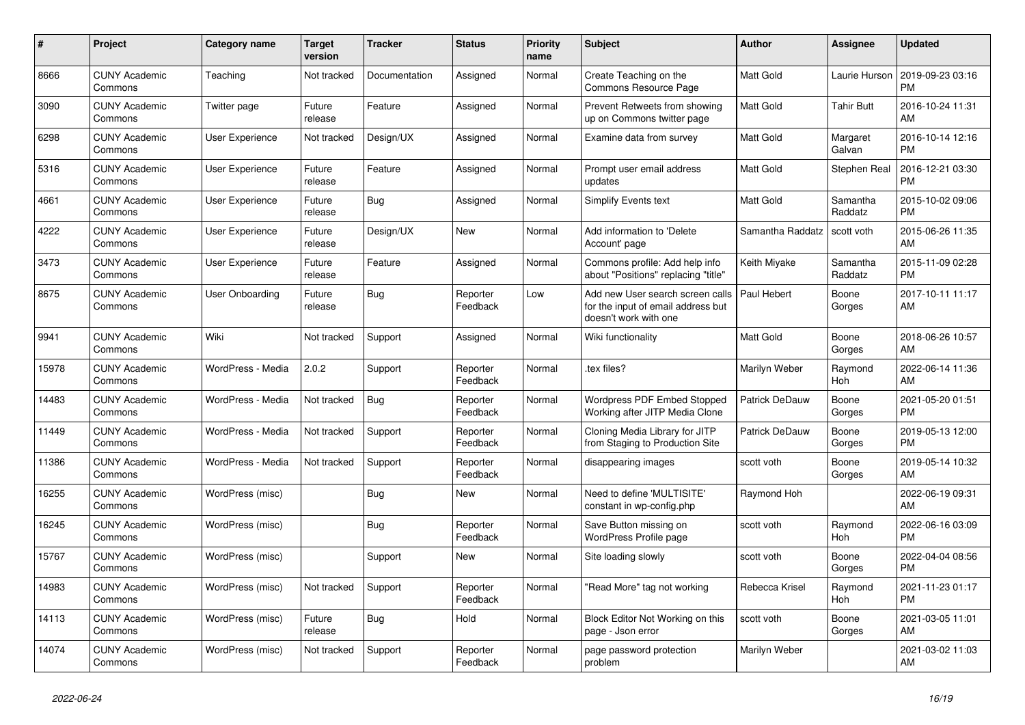| #     | Project                         | Category name          | <b>Target</b><br>version | <b>Tracker</b> | <b>Status</b>        | <b>Priority</b><br>name | <b>Subject</b>                                                                                  | <b>Author</b>         | <b>Assignee</b>       | <b>Updated</b>                |
|-------|---------------------------------|------------------------|--------------------------|----------------|----------------------|-------------------------|-------------------------------------------------------------------------------------------------|-----------------------|-----------------------|-------------------------------|
| 8666  | <b>CUNY Academic</b><br>Commons | Teaching               | Not tracked              | Documentation  | Assigned             | Normal                  | Create Teaching on the<br><b>Commons Resource Page</b>                                          | <b>Matt Gold</b>      | Laurie Hurson         | 2019-09-23 03:16<br><b>PM</b> |
| 3090  | <b>CUNY Academic</b><br>Commons | Twitter page           | Future<br>release        | Feature        | Assigned             | Normal                  | Prevent Retweets from showing<br>up on Commons twitter page                                     | <b>Matt Gold</b>      | Tahir Butt            | 2016-10-24 11:31<br>AM        |
| 6298  | <b>CUNY Academic</b><br>Commons | User Experience        | Not tracked              | Design/UX      | Assigned             | Normal                  | Examine data from survey                                                                        | Matt Gold             | Margaret<br>Galvan    | 2016-10-14 12:16<br><b>PM</b> |
| 5316  | <b>CUNY Academic</b><br>Commons | <b>User Experience</b> | Future<br>release        | Feature        | Assigned             | Normal                  | Prompt user email address<br>updates                                                            | <b>Matt Gold</b>      | Stephen Real          | 2016-12-21 03:30<br><b>PM</b> |
| 4661  | <b>CUNY Academic</b><br>Commons | <b>User Experience</b> | Future<br>release        | <b>Bug</b>     | Assigned             | Normal                  | Simplify Events text                                                                            | Matt Gold             | Samantha<br>Raddatz   | 2015-10-02 09:06<br><b>PM</b> |
| 4222  | <b>CUNY Academic</b><br>Commons | <b>User Experience</b> | Future<br>release        | Design/UX      | <b>New</b>           | Normal                  | Add information to 'Delete<br>Account' page                                                     | Samantha Raddatz      | scott voth            | 2015-06-26 11:35<br>AM        |
| 3473  | <b>CUNY Academic</b><br>Commons | User Experience        | Future<br>release        | Feature        | Assigned             | Normal                  | Commons profile: Add help info<br>about "Positions" replacing "title"                           | Keith Miyake          | Samantha<br>Raddatz   | 2015-11-09 02:28<br>PM        |
| 8675  | <b>CUNY Academic</b><br>Commons | <b>User Onboarding</b> | Future<br>release        | Bug            | Reporter<br>Feedback | Low                     | Add new User search screen calls<br>for the input of email address but<br>doesn't work with one | Paul Hebert           | Boone<br>Gorges       | 2017-10-11 11:17<br>AM        |
| 9941  | <b>CUNY Academic</b><br>Commons | Wiki                   | Not tracked              | Support        | Assigned             | Normal                  | Wiki functionality                                                                              | <b>Matt Gold</b>      | Boone<br>Gorges       | 2018-06-26 10:57<br>AM        |
| 15978 | <b>CUNY Academic</b><br>Commons | WordPress - Media      | 2.0.2                    | Support        | Reporter<br>Feedback | Normal                  | .tex files?                                                                                     | Marilyn Weber         | Raymond<br>Hoh        | 2022-06-14 11:36<br>AM        |
| 14483 | <b>CUNY Academic</b><br>Commons | WordPress - Media      | Not tracked              | <b>Bug</b>     | Reporter<br>Feedback | Normal                  | Wordpress PDF Embed Stopped<br>Working after JITP Media Clone                                   | <b>Patrick DeDauw</b> | Boone<br>Gorges       | 2021-05-20 01:51<br><b>PM</b> |
| 11449 | <b>CUNY Academic</b><br>Commons | WordPress - Media      | Not tracked              | Support        | Reporter<br>Feedback | Normal                  | Cloning Media Library for JITP<br>from Staging to Production Site                               | Patrick DeDauw        | Boone<br>Gorges       | 2019-05-13 12:00<br><b>PM</b> |
| 11386 | <b>CUNY Academic</b><br>Commons | WordPress - Media      | Not tracked              | Support        | Reporter<br>Feedback | Normal                  | disappearing images                                                                             | scott voth            | Boone<br>Gorges       | 2019-05-14 10:32<br>AM        |
| 16255 | <b>CUNY Academic</b><br>Commons | WordPress (misc)       |                          | <b>Bug</b>     | <b>New</b>           | Normal                  | Need to define 'MULTISITE'<br>constant in wp-config.php                                         | Raymond Hoh           |                       | 2022-06-19 09:31<br>AM        |
| 16245 | <b>CUNY Academic</b><br>Commons | WordPress (misc)       |                          | Bug            | Reporter<br>Feedback | Normal                  | Save Button missing on<br>WordPress Profile page                                                | scott voth            | Raymond<br>Hoh        | 2022-06-16 03:09<br><b>PM</b> |
| 15767 | <b>CUNY Academic</b><br>Commons | WordPress (misc)       |                          | Support        | <b>New</b>           | Normal                  | Site loading slowly                                                                             | scott voth            | Boone<br>Gorges       | 2022-04-04 08:56<br><b>PM</b> |
| 14983 | <b>CUNY Academic</b><br>Commons | WordPress (misc)       | Not tracked              | Support        | Reporter<br>Feedback | Normal                  | 'Read More" tag not working                                                                     | Rebecca Krisel        | Raymond<br><b>Hoh</b> | 2021-11-23 01:17<br><b>PM</b> |
| 14113 | <b>CUNY Academic</b><br>Commons | WordPress (misc)       | Future<br>release        | <b>Bug</b>     | Hold                 | Normal                  | Block Editor Not Working on this<br>page - Json error                                           | scott voth            | Boone<br>Gorges       | 2021-03-05 11:01<br>AM        |
| 14074 | <b>CUNY Academic</b><br>Commons | WordPress (misc)       | Not tracked              | Support        | Reporter<br>Feedback | Normal                  | page password protection<br>problem                                                             | Marilyn Weber         |                       | 2021-03-02 11:03<br>AM        |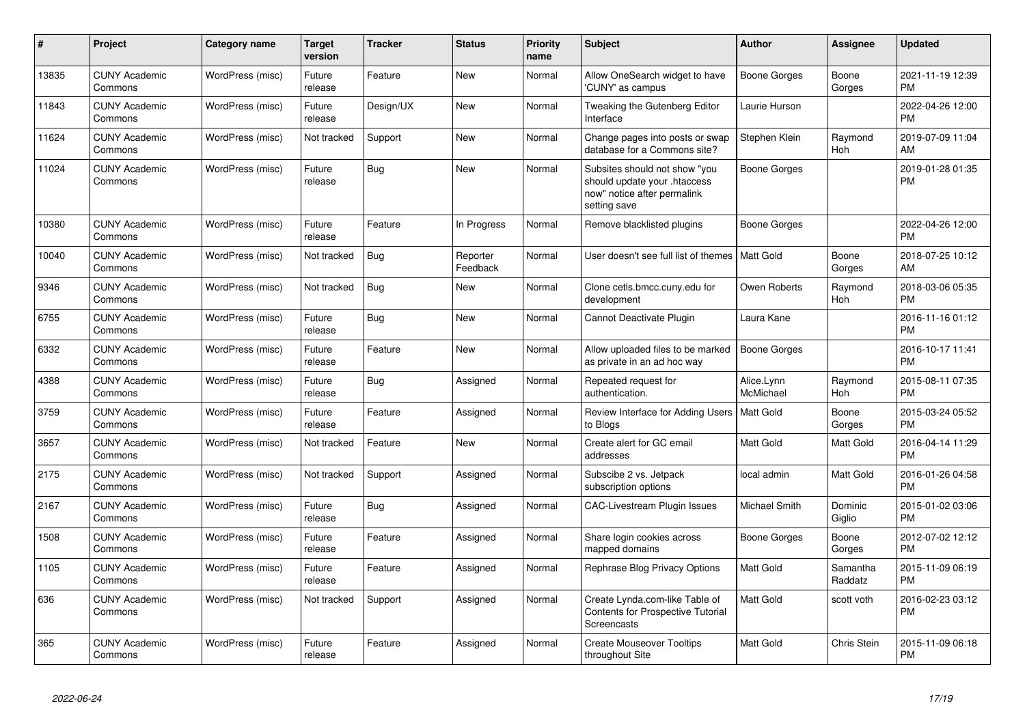| $\#$  | Project                         | <b>Category name</b> | <b>Target</b><br>version | <b>Tracker</b> | <b>Status</b>        | <b>Priority</b><br>name | <b>Subject</b>                                                                                               | <b>Author</b>           | Assignee              | <b>Updated</b>                |
|-------|---------------------------------|----------------------|--------------------------|----------------|----------------------|-------------------------|--------------------------------------------------------------------------------------------------------------|-------------------------|-----------------------|-------------------------------|
| 13835 | <b>CUNY Academic</b><br>Commons | WordPress (misc)     | Future<br>release        | Feature        | <b>New</b>           | Normal                  | Allow OneSearch widget to have<br>'CUNY' as campus                                                           | Boone Gorges            | Boone<br>Gorges       | 2021-11-19 12:39<br><b>PM</b> |
| 11843 | <b>CUNY Academic</b><br>Commons | WordPress (misc)     | Future<br>release        | Design/UX      | <b>New</b>           | Normal                  | Tweaking the Gutenberg Editor<br>Interface                                                                   | Laurie Hurson           |                       | 2022-04-26 12:00<br><b>PM</b> |
| 11624 | <b>CUNY Academic</b><br>Commons | WordPress (misc)     | Not tracked              | Support        | <b>New</b>           | Normal                  | Change pages into posts or swap<br>database for a Commons site?                                              | Stephen Klein           | Raymond<br>Hoh        | 2019-07-09 11:04<br>AM        |
| 11024 | <b>CUNY Academic</b><br>Commons | WordPress (misc)     | Future<br>release        | Bug            | New                  | Normal                  | Subsites should not show "you<br>should update your .htaccess<br>now" notice after permalink<br>setting save | Boone Gorges            |                       | 2019-01-28 01:35<br><b>PM</b> |
| 10380 | <b>CUNY Academic</b><br>Commons | WordPress (misc)     | Future<br>release        | Feature        | In Progress          | Normal                  | Remove blacklisted plugins                                                                                   | Boone Gorges            |                       | 2022-04-26 12:00<br><b>PM</b> |
| 10040 | <b>CUNY Academic</b><br>Commons | WordPress (misc)     | Not tracked              | <b>Bug</b>     | Reporter<br>Feedback | Normal                  | User doesn't see full list of themes                                                                         | Matt Gold               | Boone<br>Gorges       | 2018-07-25 10:12<br>AM        |
| 9346  | <b>CUNY Academic</b><br>Commons | WordPress (misc)     | Not tracked              | <b>Bug</b>     | New                  | Normal                  | Clone cetls.bmcc.cuny.edu for<br>development                                                                 | Owen Roberts            | Raymond<br><b>Hoh</b> | 2018-03-06 05:35<br><b>PM</b> |
| 6755  | <b>CUNY Academic</b><br>Commons | WordPress (misc)     | Future<br>release        | Bug            | <b>New</b>           | Normal                  | Cannot Deactivate Plugin                                                                                     | Laura Kane              |                       | 2016-11-16 01:12<br><b>PM</b> |
| 6332  | <b>CUNY Academic</b><br>Commons | WordPress (misc)     | Future<br>release        | Feature        | New                  | Normal                  | Allow uploaded files to be marked<br>as private in an ad hoc way                                             | <b>Boone Gorges</b>     |                       | 2016-10-17 11:41<br><b>PM</b> |
| 4388  | <b>CUNY Academic</b><br>Commons | WordPress (misc)     | Future<br>release        | Bug            | Assigned             | Normal                  | Repeated request for<br>authentication.                                                                      | Alice.Lynn<br>McMichael | Raymond<br><b>Hoh</b> | 2015-08-11 07:35<br><b>PM</b> |
| 3759  | <b>CUNY Academic</b><br>Commons | WordPress (misc)     | Future<br>release        | Feature        | Assigned             | Normal                  | Review Interface for Adding Users   Matt Gold<br>to Blogs                                                    |                         | Boone<br>Gorges       | 2015-03-24 05:52<br><b>PM</b> |
| 3657  | <b>CUNY Academic</b><br>Commons | WordPress (misc)     | Not tracked              | Feature        | <b>New</b>           | Normal                  | Create alert for GC email<br>addresses                                                                       | Matt Gold               | Matt Gold             | 2016-04-14 11:29<br><b>PM</b> |
| 2175  | <b>CUNY Academic</b><br>Commons | WordPress (misc)     | Not tracked              | Support        | Assigned             | Normal                  | Subscibe 2 vs. Jetpack<br>subscription options                                                               | local admin             | Matt Gold             | 2016-01-26 04:58<br><b>PM</b> |
| 2167  | <b>CUNY Academic</b><br>Commons | WordPress (misc)     | Future<br>release        | <b>Bug</b>     | Assigned             | Normal                  | CAC-Livestream Plugin Issues                                                                                 | Michael Smith           | Dominic<br>Giglio     | 2015-01-02 03:06<br><b>PM</b> |
| 1508  | <b>CUNY Academic</b><br>Commons | WordPress (misc)     | Future<br>release        | Feature        | Assigned             | Normal                  | Share login cookies across<br>mapped domains                                                                 | Boone Gorges            | Boone<br>Gorges       | 2012-07-02 12:12<br>PM        |
| 1105  | <b>CUNY Academic</b><br>Commons | WordPress (misc)     | Future<br>release        | Feature        | Assigned             | Normal                  | Rephrase Blog Privacy Options                                                                                | Matt Gold               | Samantha<br>Raddatz   | 2015-11-09 06:19<br><b>PM</b> |
| 636   | <b>CUNY Academic</b><br>Commons | WordPress (misc)     | Not tracked              | Support        | Assigned             | Normal                  | Create Lynda.com-like Table of<br><b>Contents for Prospective Tutorial</b><br>Screencasts                    | Matt Gold               | scott voth            | 2016-02-23 03:12<br><b>PM</b> |
| 365   | <b>CUNY Academic</b><br>Commons | WordPress (misc)     | Future<br>release        | Feature        | Assigned             | Normal                  | <b>Create Mouseover Tooltips</b><br>throughout Site                                                          | Matt Gold               | Chris Stein           | 2015-11-09 06:18<br><b>PM</b> |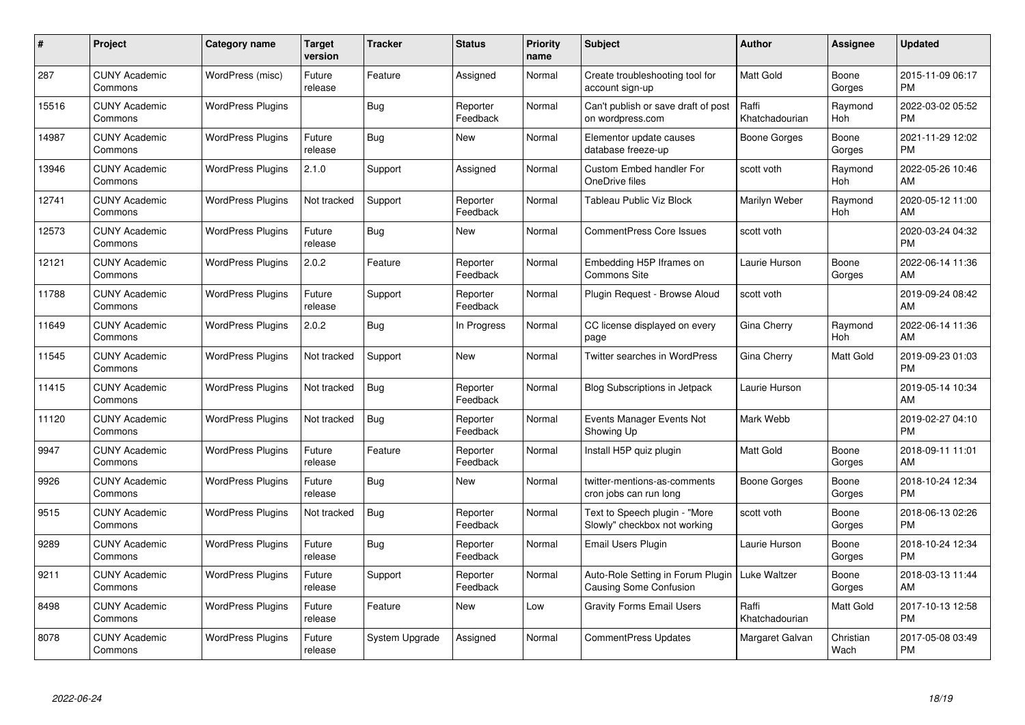| $\#$  | Project                         | <b>Category name</b>     | <b>Target</b><br>version | <b>Tracker</b> | <b>Status</b>        | <b>Priority</b><br>name | <b>Subject</b>                                                | Author                  | <b>Assignee</b>   | <b>Updated</b>                |
|-------|---------------------------------|--------------------------|--------------------------|----------------|----------------------|-------------------------|---------------------------------------------------------------|-------------------------|-------------------|-------------------------------|
| 287   | <b>CUNY Academic</b><br>Commons | WordPress (misc)         | Future<br>release        | Feature        | Assigned             | Normal                  | Create troubleshooting tool for<br>account sign-up            | <b>Matt Gold</b>        | Boone<br>Gorges   | 2015-11-09 06:17<br><b>PM</b> |
| 15516 | <b>CUNY Academic</b><br>Commons | <b>WordPress Plugins</b> |                          | Bug            | Reporter<br>Feedback | Normal                  | Can't publish or save draft of post<br>on wordpress.com       | Raffi<br>Khatchadourian | Raymond<br>Hoh    | 2022-03-02 05:52<br><b>PM</b> |
| 14987 | <b>CUNY Academic</b><br>Commons | <b>WordPress Plugins</b> | Future<br>release        | <b>Bug</b>     | <b>New</b>           | Normal                  | Elementor update causes<br>database freeze-up                 | Boone Gorges            | Boone<br>Gorges   | 2021-11-29 12:02<br><b>PM</b> |
| 13946 | <b>CUNY Academic</b><br>Commons | <b>WordPress Plugins</b> | 2.1.0                    | Support        | Assigned             | Normal                  | <b>Custom Embed handler For</b><br>OneDrive files             | scott voth              | Raymond<br>Hoh    | 2022-05-26 10:46<br>AM        |
| 12741 | <b>CUNY Academic</b><br>Commons | <b>WordPress Plugins</b> | Not tracked              | Support        | Reporter<br>Feedback | Normal                  | Tableau Public Viz Block                                      | Marilyn Weber           | Raymond<br>Hoh    | 2020-05-12 11:00<br>AM        |
| 12573 | <b>CUNY Academic</b><br>Commons | <b>WordPress Plugins</b> | Future<br>release        | <b>Bug</b>     | <b>New</b>           | Normal                  | <b>CommentPress Core Issues</b>                               | scott voth              |                   | 2020-03-24 04:32<br><b>PM</b> |
| 12121 | <b>CUNY Academic</b><br>Commons | <b>WordPress Plugins</b> | 2.0.2                    | Feature        | Reporter<br>Feedback | Normal                  | Embedding H5P Iframes on<br>Commons Site                      | Laurie Hurson           | Boone<br>Gorges   | 2022-06-14 11:36<br>AM        |
| 11788 | <b>CUNY Academic</b><br>Commons | <b>WordPress Plugins</b> | Future<br>release        | Support        | Reporter<br>Feedback | Normal                  | Plugin Request - Browse Aloud                                 | scott voth              |                   | 2019-09-24 08:42<br>AM        |
| 11649 | <b>CUNY Academic</b><br>Commons | <b>WordPress Plugins</b> | 2.0.2                    | <b>Bug</b>     | In Progress          | Normal                  | CC license displayed on every<br>page                         | Gina Cherry             | Raymond<br>Hoh    | 2022-06-14 11:36<br>AM        |
| 11545 | <b>CUNY Academic</b><br>Commons | <b>WordPress Plugins</b> | Not tracked              | Support        | <b>New</b>           | Normal                  | <b>Twitter searches in WordPress</b>                          | Gina Cherry             | Matt Gold         | 2019-09-23 01:03<br><b>PM</b> |
| 11415 | <b>CUNY Academic</b><br>Commons | <b>WordPress Plugins</b> | Not tracked              | <b>Bug</b>     | Reporter<br>Feedback | Normal                  | <b>Blog Subscriptions in Jetpack</b>                          | Laurie Hurson           |                   | 2019-05-14 10:34<br>AM        |
| 11120 | <b>CUNY Academic</b><br>Commons | <b>WordPress Plugins</b> | Not tracked              | <b>Bug</b>     | Reporter<br>Feedback | Normal                  | Events Manager Events Not<br>Showing Up                       | Mark Webb               |                   | 2019-02-27 04:10<br><b>PM</b> |
| 9947  | <b>CUNY Academic</b><br>Commons | <b>WordPress Plugins</b> | Future<br>release        | Feature        | Reporter<br>Feedback | Normal                  | Install H5P quiz plugin                                       | <b>Matt Gold</b>        | Boone<br>Gorges   | 2018-09-11 11:01<br>AM        |
| 9926  | <b>CUNY Academic</b><br>Commons | <b>WordPress Plugins</b> | Future<br>release        | Bug            | <b>New</b>           | Normal                  | twitter-mentions-as-comments<br>cron jobs can run long        | Boone Gorges            | Boone<br>Gorges   | 2018-10-24 12:34<br><b>PM</b> |
| 9515  | <b>CUNY Academic</b><br>Commons | <b>WordPress Plugins</b> | Not tracked              | <b>Bug</b>     | Reporter<br>Feedback | Normal                  | Text to Speech plugin - "More<br>Slowly" checkbox not working | scott voth              | Boone<br>Gorges   | 2018-06-13 02:26<br><b>PM</b> |
| 9289  | <b>CUNY Academic</b><br>Commons | <b>WordPress Plugins</b> | Future<br>release        | <b>Bug</b>     | Reporter<br>Feedback | Normal                  | Email Users Plugin                                            | Laurie Hurson           | Boone<br>Gorges   | 2018-10-24 12:34<br><b>PM</b> |
| 9211  | <b>CUNY Academic</b><br>Commons | <b>WordPress Plugins</b> | Future<br>release        | Support        | Reporter<br>Feedback | Normal                  | Auto-Role Setting in Forum Plugin<br>Causing Some Confusion   | Luke Waltzer            | Boone<br>Gorges   | 2018-03-13 11:44<br>AM        |
| 8498  | <b>CUNY Academic</b><br>Commons | <b>WordPress Plugins</b> | Future<br>release        | Feature        | New                  | Low                     | <b>Gravity Forms Email Users</b>                              | Raffi<br>Khatchadourian | Matt Gold         | 2017-10-13 12:58<br><b>PM</b> |
| 8078  | <b>CUNY Academic</b><br>Commons | <b>WordPress Plugins</b> | Future<br>release        | System Upgrade | Assigned             | Normal                  | CommentPress Updates                                          | Margaret Galvan         | Christian<br>Wach | 2017-05-08 03:49<br>PM        |